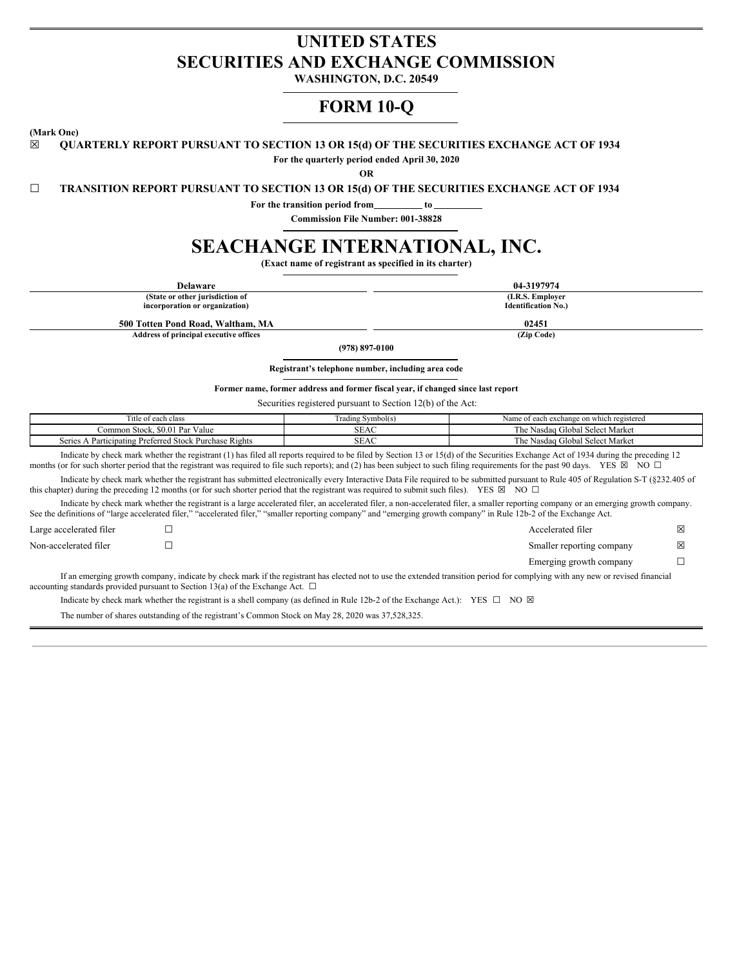# **UNITED STATES SECURITIES AND EXCHANGE COMMISSION**

**WASHINGTON, D.C. 20549**

# **FORM 10-Q**

**(Mark One)**

☒ **QUARTERLY REPORT PURSUANT TO SECTION 13 OR 15(d) OF THE SECURITIES EXCHANGE ACT OF 1934**

**For the quarterly period ended April 30, 2020**

**OR**

☐ **TRANSITION REPORT PURSUANT TO SECTION 13 OR 15(d) OF THE SECURITIES EXCHANGE ACT OF 1934**

**For the transition period from to**

**Commission File Number: 001-38828**

# **SEACHANGE INTERNATIONAL, INC.**

**(Exact name of registrant as specified in its charter)**

| <b>Delaware</b>                                                                                                                                                     |                                                                                                                                                                                                   | 04-3197974                                                                                                                                                                                                                                                                                                                                                                            |   |  |
|---------------------------------------------------------------------------------------------------------------------------------------------------------------------|---------------------------------------------------------------------------------------------------------------------------------------------------------------------------------------------------|---------------------------------------------------------------------------------------------------------------------------------------------------------------------------------------------------------------------------------------------------------------------------------------------------------------------------------------------------------------------------------------|---|--|
| (State or other jurisdiction of                                                                                                                                     |                                                                                                                                                                                                   | (I.R.S. Employer                                                                                                                                                                                                                                                                                                                                                                      |   |  |
| incorporation or organization)                                                                                                                                      |                                                                                                                                                                                                   | <b>Identification No.)</b>                                                                                                                                                                                                                                                                                                                                                            |   |  |
| 500 Totten Pond Road, Waltham, MA                                                                                                                                   |                                                                                                                                                                                                   | 02451                                                                                                                                                                                                                                                                                                                                                                                 |   |  |
| Address of principal executive offices                                                                                                                              |                                                                                                                                                                                                   | (Zip Code)                                                                                                                                                                                                                                                                                                                                                                            |   |  |
|                                                                                                                                                                     | $(978) 897 - 0100$                                                                                                                                                                                |                                                                                                                                                                                                                                                                                                                                                                                       |   |  |
|                                                                                                                                                                     | Registrant's telephone number, including area code                                                                                                                                                |                                                                                                                                                                                                                                                                                                                                                                                       |   |  |
|                                                                                                                                                                     | Former name, former address and former fiscal year, if changed since last report                                                                                                                  |                                                                                                                                                                                                                                                                                                                                                                                       |   |  |
|                                                                                                                                                                     | Securities registered pursuant to Section 12(b) of the Act:                                                                                                                                       |                                                                                                                                                                                                                                                                                                                                                                                       |   |  |
| Title of each class                                                                                                                                                 | Trading Symbol(s)                                                                                                                                                                                 | Name of each exchange on which registered                                                                                                                                                                                                                                                                                                                                             |   |  |
| Common Stock, \$0.01 Par Value                                                                                                                                      | <b>SEAC</b>                                                                                                                                                                                       | The Nasdaq Global Select Market                                                                                                                                                                                                                                                                                                                                                       |   |  |
| Series A Participating Preferred Stock Purchase Rights                                                                                                              | <b>SEAC</b>                                                                                                                                                                                       | The Nasdaq Global Select Market                                                                                                                                                                                                                                                                                                                                                       |   |  |
|                                                                                                                                                                     |                                                                                                                                                                                                   | Indicate by check mark whether the registrant (1) has filed all reports required to be filed by Section 13 or 15(d) of the Securities Exchange Act of 1934 during the preceding 12<br>months (or for such shorter period that the registrant was required to file such reports); and (2) has been subject to such filing requirements for the past 90 days. YES $\boxtimes$ NO $\Box$ |   |  |
| this chapter) during the preceding 12 months (or for such shorter period that the registrant was required to submit such files). YES $\boxtimes$ NO $\Box$          |                                                                                                                                                                                                   | Indicate by check mark whether the registrant has submitted electronically every Interactive Data File required to be submitted pursuant to Rule 405 of Regulation S-T (§232.405 of                                                                                                                                                                                                   |   |  |
| See the definitions of "large accelerated filer," "accelerated filer," "smaller reporting company" and "emerging growth company" in Rule 12b-2 of the Exchange Act. |                                                                                                                                                                                                   | Indicate by check mark whether the registrant is a large accelerated filer, an accelerated filer, a non-accelerated filer, a smaller reporting company or an emerging growth company.                                                                                                                                                                                                 |   |  |
| Large accelerated filer                                                                                                                                             |                                                                                                                                                                                                   | Accelerated filer                                                                                                                                                                                                                                                                                                                                                                     | X |  |
| Non-accelerated filer                                                                                                                                               |                                                                                                                                                                                                   | Smaller reporting company                                                                                                                                                                                                                                                                                                                                                             | 冈 |  |
|                                                                                                                                                                     |                                                                                                                                                                                                   | Emerging growth company<br>L                                                                                                                                                                                                                                                                                                                                                          |   |  |
| $\mathbf{r}$ and $\mathbf{r}$ and $\mathbf{r}$ and $\mathbf{r}$ and $\mathbf{r}$<br>$\mathbf{r}$ .                                                                  | $\mathcal{A} = \mathcal{A} \mathcal{A} = \mathcal{A} \mathcal{A} = \mathcal{A} \mathcal{A} = \mathcal{A} \mathcal{A} = \mathcal{A} \mathcal{A} \mathcal{A} = \mathcal{A} \mathcal{A} \mathcal{A}$ | and the contract of the contract of the contract of the contract of the contract of the contract of the contract of the contract of the contract of the contract of the contract of the contract of the contract of the contra<br>$\cdot$ $\cdot$                                                                                                                                     |   |  |

If an emerging growth company, indicate by check mark if the registrant has elected not to use the extended transition period for complying with any new or revised financial accounting standards provided pursuant to Section 13(a) of the Exchange Act.  $\Box$ 

Indicate by check mark whether the registrant is a shell company (as defined in Rule 12b-2 of the Exchange Act.): YES  $\Box$  NO  $\boxtimes$ 

The number of shares outstanding of the registrant's Common Stock on May 28, 2020 was 37,528,325.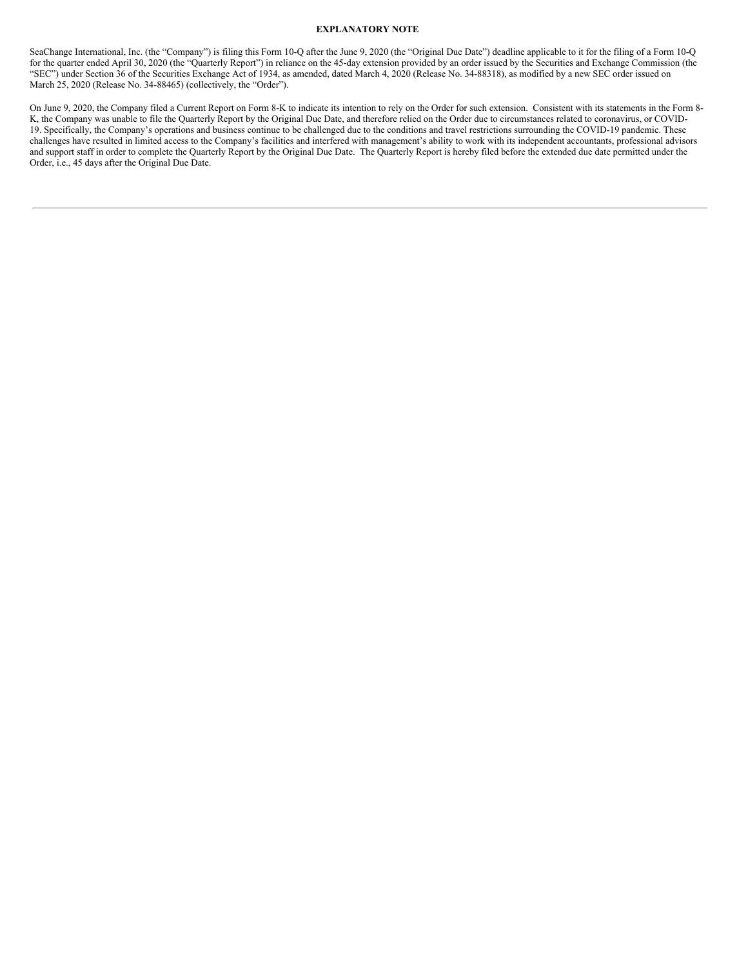# **EXPLANATORY NOTE**

SeaChange International, Inc. (the "Company") is filing this Form 10-Q after the June 9, 2020 (the "Original Due Date") deadline applicable to it for the filing of a Form 10-Q for the quarter ended April 30, 2020 (the "Quarterly Report") in reliance on the 45-day extension provided by an order issued by the Securities and Exchange Commission (the "SEC") under Section 36 of the Securities Exchange Act of 1934, as amended, dated March 4, 2020 (Release No. 34-88318), as modified by a new SEC order issued on March 25, 2020 (Release No. 34-88465) (collectively, the "Order").

On June 9, 2020, the Company filed a Current Report on Form 8-K to indicate its intention to rely on the Order for such extension. Consistent with its statements in the Form 8- K, the Company was unable to file the Quarterly Report by the Original Due Date, and therefore relied on the Order due to circumstances related to coronavirus, or COVID-19. Specifically, the Company's operations and business continue to be challenged due to the conditions and travel restrictions surrounding the COVID-19 pandemic. These challenges have resulted in limited access to the Company's facilities and interfered with management's ability to work with its independent accountants, professional advisors and support staff in order to complete the Quarterly Report by the Original Due Date. The Quarterly Report is hereby filed before the extended due date permitted under the Order, i.e., 45 days after the Original Due Date.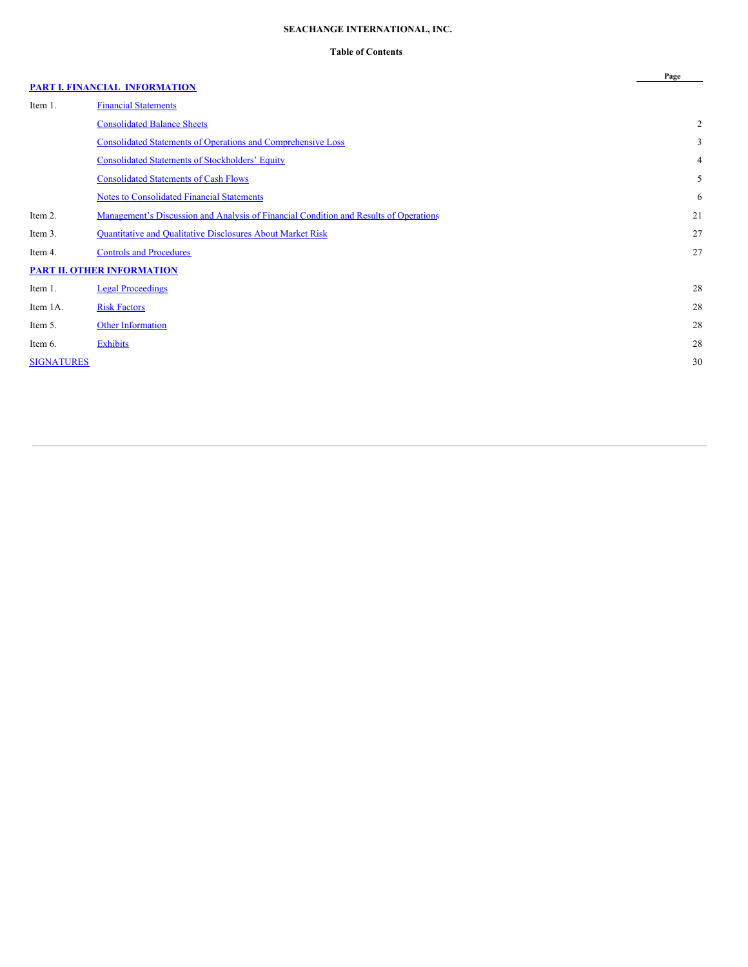# **SEACHANGE INTERNATIONAL, INC.**

# **Table of Contents**

**Page**

# **PART I. FINANCIAL [INFORMATION](#page-3-0)**

| Item 1.           | <b>Financial Statements</b>                                                                  |                |
|-------------------|----------------------------------------------------------------------------------------------|----------------|
|                   | <b>Consolidated Balance Sheets</b>                                                           | $\overline{2}$ |
|                   | <b>Consolidated Statements of Operations and Comprehensive Loss</b>                          | 3              |
|                   | <b>Consolidated Statements of Stockholders' Equity</b>                                       | 4              |
|                   | <b>Consolidated Statements of Cash Flows</b>                                                 | 5              |
|                   | <b>Notes to Consolidated Financial Statements</b>                                            | 6              |
| Item 2.           | <u>Management's Discussion and Analysis of Financial Condition and Results of Operations</u> | 21             |
| Item 3.           | <b>Quantitative and Qualitative Disclosures About Market Risk</b>                            | 27             |
| Item 4.           | <b>Controls and Procedures</b>                                                               | 27             |
|                   | <b>PART II. OTHER INFORMATION</b>                                                            |                |
| Item 1.           | <b>Legal Proceedings</b>                                                                     | 28             |
| Item 1A.          | <b>Risk Factors</b>                                                                          | 28             |
| Item 5.           | <b>Other Information</b>                                                                     | 28             |
| Item 6.           | <b>Exhibits</b>                                                                              | 28             |
| <b>SIGNATURES</b> |                                                                                              | 30             |
|                   |                                                                                              |                |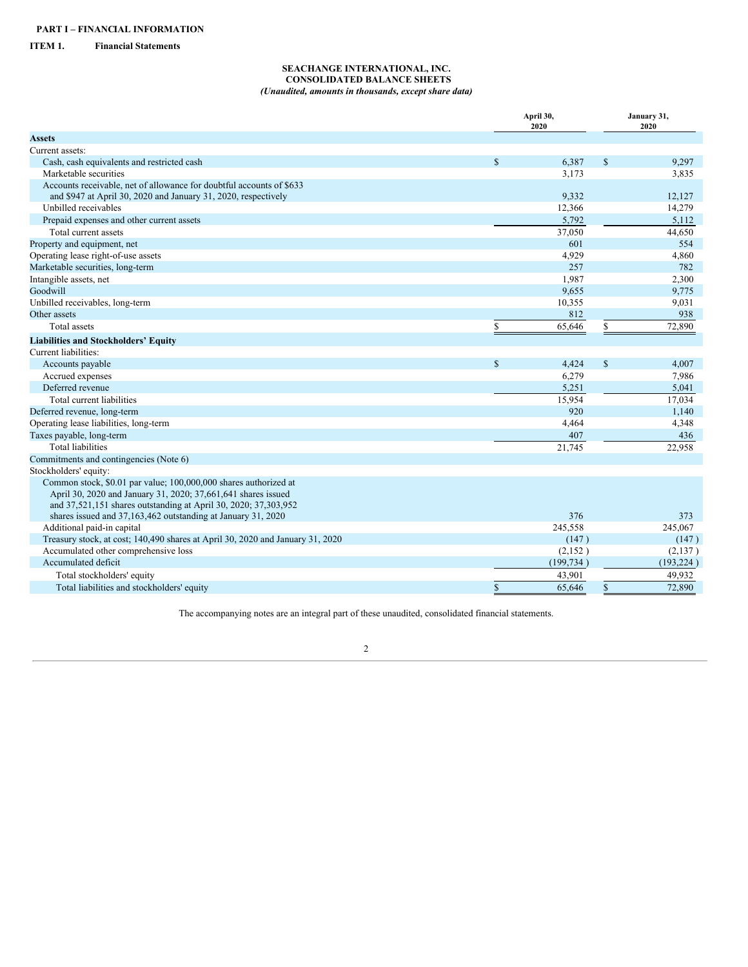# <span id="page-3-1"></span><span id="page-3-0"></span>**ITEM 1. Financial Statements**

# <span id="page-3-2"></span>**SEACHANGE INTERNATIONAL, INC. CONSOLIDATED BALANCE SHEETS** *(Unaudited, amounts in thousands, except share data)*

|                                                                                |              | April 30,<br>2020 |               | January 31,<br>2020 |
|--------------------------------------------------------------------------------|--------------|-------------------|---------------|---------------------|
| <b>Assets</b>                                                                  |              |                   |               |                     |
| Current assets:                                                                |              |                   |               |                     |
| Cash, cash equivalents and restricted cash                                     | $\mathbf S$  | 6,387             | $\mathsf{\$}$ | 9,297               |
| Marketable securities                                                          |              | 3,173             |               | 3,835               |
| Accounts receivable, net of allowance for doubtful accounts of \$633           |              |                   |               |                     |
| and \$947 at April 30, 2020 and January 31, 2020, respectively                 |              | 9,332             |               | 12,127              |
| Unbilled receivables                                                           |              | 12,366            |               | 14,279              |
| Prepaid expenses and other current assets                                      |              | 5,792             |               | 5,112               |
| Total current assets                                                           |              | 37,050            |               | 44,650              |
| Property and equipment, net                                                    |              | 601               |               | 554                 |
| Operating lease right-of-use assets                                            |              | 4,929             |               | 4,860               |
| Marketable securities, long-term                                               |              | 257               |               | 782                 |
| Intangible assets, net                                                         |              | 1,987             |               | 2,300               |
| Goodwill                                                                       |              | 9,655             |               | 9,775               |
| Unbilled receivables, long-term                                                |              | 10,355            |               | 9,031               |
| Other assets                                                                   |              | 812               |               | 938                 |
| Total assets                                                                   | S            | 65,646            | \$            | 72,890              |
| <b>Liabilities and Stockholders' Equity</b>                                    |              |                   |               |                     |
| Current liabilities:                                                           |              |                   |               |                     |
| Accounts payable                                                               | $\mathbf S$  | 4,424             | $\$$          | 4,007               |
| Accrued expenses                                                               |              | 6,279             |               | 7,986               |
| Deferred revenue                                                               |              | 5,251             |               | 5,041               |
| Total current liabilities                                                      |              | 15,954            |               | 17,034              |
| Deferred revenue, long-term                                                    |              | 920               |               | 1,140               |
| Operating lease liabilities, long-term                                         |              | 4,464             |               | 4,348               |
| Taxes payable, long-term                                                       |              | 407               |               | 436                 |
| <b>Total liabilities</b>                                                       |              | 21,745            |               | 22,958              |
| Commitments and contingencies (Note 6)                                         |              |                   |               |                     |
| Stockholders' equity:                                                          |              |                   |               |                     |
| Common stock, \$0.01 par value; 100,000,000 shares authorized at               |              |                   |               |                     |
| April 30, 2020 and January 31, 2020; 37,661,641 shares issued                  |              |                   |               |                     |
| and 37,521,151 shares outstanding at April 30, 2020; 37,303,952                |              |                   |               |                     |
| shares issued and 37,163,462 outstanding at January 31, 2020                   |              | 376               |               | 373                 |
| Additional paid-in capital                                                     |              | 245,558           |               | 245,067             |
| Treasury stock, at cost; 140,490 shares at April 30, 2020 and January 31, 2020 |              | (147)             |               | (147)               |
| Accumulated other comprehensive loss                                           |              | (2,152)           |               | (2,137)             |
| Accumulated deficit                                                            |              | (199, 734)        |               | (193, 224)          |
| Total stockholders' equity                                                     |              | 43,901            |               | 49,932              |
| Total liabilities and stockholders' equity                                     | $\mathbb{S}$ | 65,646            | $\$$          | 72,890              |

The accompanying notes are an integral part of these unaudited, consolidated financial statements.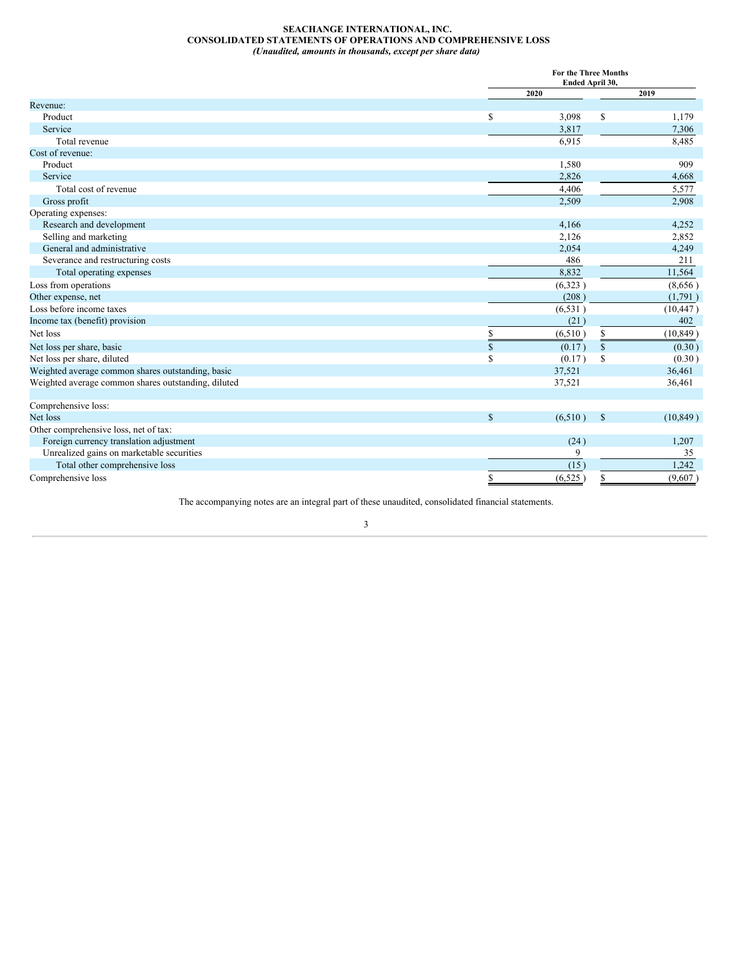# <span id="page-4-0"></span>**SEACHANGE INTERNATIONAL, INC. CONSOLIDATED STATEMENTS OF OPERATIONS AND COMPREHENSIVE LOSS** *(Unaudited, amounts in thousands, except per share data)*

|                                                     |    | For the Three Months<br>Ended April 30, |                    |           |  |  |
|-----------------------------------------------------|----|-----------------------------------------|--------------------|-----------|--|--|
|                                                     |    | 2020                                    |                    | 2019      |  |  |
| Revenue:                                            |    |                                         |                    |           |  |  |
| Product                                             | S  | 3,098                                   | S                  | 1,179     |  |  |
| Service                                             |    | 3,817                                   |                    | 7,306     |  |  |
| Total revenue                                       |    | 6,915                                   |                    | 8,485     |  |  |
| Cost of revenue:                                    |    |                                         |                    |           |  |  |
| Product                                             |    | 1,580                                   |                    | 909       |  |  |
| Service                                             |    | 2,826                                   |                    | 4,668     |  |  |
| Total cost of revenue                               |    | 4,406                                   |                    | 5,577     |  |  |
| Gross profit                                        |    | 2,509                                   |                    | 2,908     |  |  |
| Operating expenses:                                 |    |                                         |                    |           |  |  |
| Research and development                            |    | 4,166                                   |                    | 4,252     |  |  |
| Selling and marketing                               |    | 2,126                                   |                    | 2,852     |  |  |
| General and administrative                          |    | 2,054                                   |                    | 4,249     |  |  |
| Severance and restructuring costs                   |    | 486                                     |                    | 211       |  |  |
| Total operating expenses                            |    | 8,832                                   |                    | 11,564    |  |  |
| Loss from operations                                |    | (6,323)                                 |                    | (8,656)   |  |  |
| Other expense, net                                  |    | (208)                                   |                    | (1,791)   |  |  |
| Loss before income taxes                            |    | (6, 531)                                |                    | (10, 447) |  |  |
| Income tax (benefit) provision                      |    | (21)                                    |                    | 402       |  |  |
| Net loss                                            | \$ | (6,510)                                 | \$                 | (10, 849) |  |  |
| Net loss per share, basic                           | \$ | (0.17)                                  | $\mathbf{\hat{s}}$ | (0.30)    |  |  |
| Net loss per share, diluted                         | \$ | (0.17)                                  | S                  | (0.30)    |  |  |
| Weighted average common shares outstanding, basic   |    | 37,521                                  |                    | 36,461    |  |  |
| Weighted average common shares outstanding, diluted |    | 37,521                                  |                    | 36,461    |  |  |
| Comprehensive loss:                                 |    |                                         |                    |           |  |  |
| Net loss                                            | \$ | (6,510)                                 | $\mathbb{S}$       | (10, 849) |  |  |
| Other comprehensive loss, net of tax:               |    |                                         |                    |           |  |  |
| Foreign currency translation adjustment             |    | (24)                                    |                    | 1,207     |  |  |
| Unrealized gains on marketable securities           |    | 9                                       |                    | 35        |  |  |
| Total other comprehensive loss                      |    | (15)                                    |                    | 1,242     |  |  |
| Comprehensive loss                                  |    | (6,525)                                 |                    | (9,607)   |  |  |

The accompanying notes are an integral part of these unaudited, consolidated financial statements.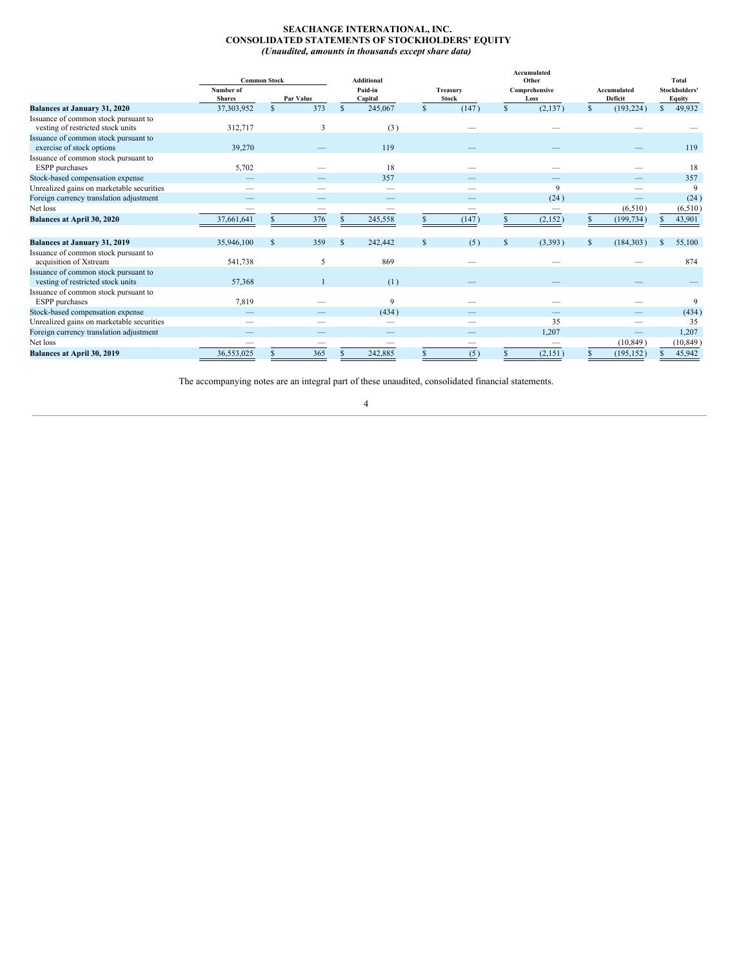# <span id="page-5-0"></span>**SEACHANGE INTERNATIONAL, INC. CONSOLIDATED STATEMENTS OF STOCKHOLDERS' EQUITY** *(Unaudited, amounts in thousands except share data)*

|                                                                           |                            | <b>Common Stock</b> |     |                    | <b>Additional</b> |             |                          |                       | Accumulated<br>Other |                        |            |                         | Total     |
|---------------------------------------------------------------------------|----------------------------|---------------------|-----|--------------------|-------------------|-------------|--------------------------|-----------------------|----------------------|------------------------|------------|-------------------------|-----------|
|                                                                           | Number of<br><b>Shares</b> | Par Value           |     | Paid-in<br>Capital |                   |             | Treasury<br><b>Stock</b> | Comprehensive<br>Loss |                      | Accumulated<br>Deficit |            | Stockholders'<br>Equity |           |
| Balances at January 31, 2020                                              | 37,303,952                 | $\mathbb{S}$        | 373 | $\mathcal{S}$      | 245,067           | $\mathbf S$ | (147)                    | $\mathbb{S}$          | (2, 137)             | $\mathbb{S}$           | (193, 224) | $\mathbb{S}$            | 49,932    |
| Issuance of common stock pursuant to<br>vesting of restricted stock units | 312,717                    |                     | 3   |                    | (3)               |             |                          |                       |                      |                        |            |                         |           |
| Issuance of common stock pursuant to<br>exercise of stock options         | 39,270                     |                     |     |                    | 119               |             |                          |                       |                      |                        |            |                         | 119       |
| Issuance of common stock pursuant to<br>ESPP purchases                    | 5,702                      |                     |     |                    | 18                |             |                          |                       |                      |                        |            |                         | 18        |
| Stock-based compensation expense                                          |                            |                     |     |                    | 357               |             |                          |                       |                      |                        |            |                         | 357       |
| Unrealized gains on marketable securities                                 |                            |                     |     |                    | _                 |             |                          |                       | 9                    |                        |            |                         | 9         |
| Foreign currency translation adjustment                                   | –                          |                     |     |                    |                   |             |                          |                       | (24)                 |                        |            |                         | (24)      |
| Net loss                                                                  | _                          |                     | _   |                    |                   |             |                          |                       | $\qquad \qquad$      |                        | (6,510)    |                         | (6,510)   |
| Balances at April 30, 2020                                                | 37,661,641                 |                     | 376 |                    | 245,558           |             | (147)                    |                       | (2,152)              |                        | (199, 734) |                         | 43,901    |
| <b>Balances at January 31, 2019</b>                                       | 35,946,100                 | $\mathbb{S}$        | 359 | <sup>S</sup>       | 242,442           | $\mathbf S$ | (5)                      | $\mathbb{S}$          | (3,393)              | $\mathbb{S}$           | (184, 303) | £.                      | 55,100    |
| Issuance of common stock pursuant to<br>acquisition of Xstream            | 541,738                    |                     | 5   |                    | 869               |             |                          |                       |                      |                        |            |                         | 874       |
| Issuance of common stock pursuant to<br>vesting of restricted stock units | 57,368                     |                     |     |                    | (1)               |             |                          |                       |                      |                        |            |                         |           |
| Issuance of common stock pursuant to<br>ESPP purchases                    | 7,819                      |                     |     |                    | 9                 |             |                          |                       |                      |                        |            |                         | 9         |
| Stock-based compensation expense                                          |                            |                     |     |                    | (434)             |             |                          |                       |                      |                        |            |                         | (434)     |
| Unrealized gains on marketable securities                                 |                            |                     |     |                    |                   |             |                          |                       | 35                   |                        |            |                         | 35        |
| Foreign currency translation adjustment                                   |                            |                     |     |                    |                   |             |                          |                       | 1,207                |                        |            |                         | 1,207     |
| Net loss                                                                  |                            |                     |     |                    |                   |             |                          |                       |                      |                        | (10, 849)  |                         | (10, 849) |
| Balances at April 30, 2019                                                | 36,553,025                 |                     | 365 |                    | 242,885           |             | (5)                      |                       | (2,151)              |                        | (195, 152) |                         | 45,942    |

The accompanying notes are an integral part of these unaudited, consolidated financial statements.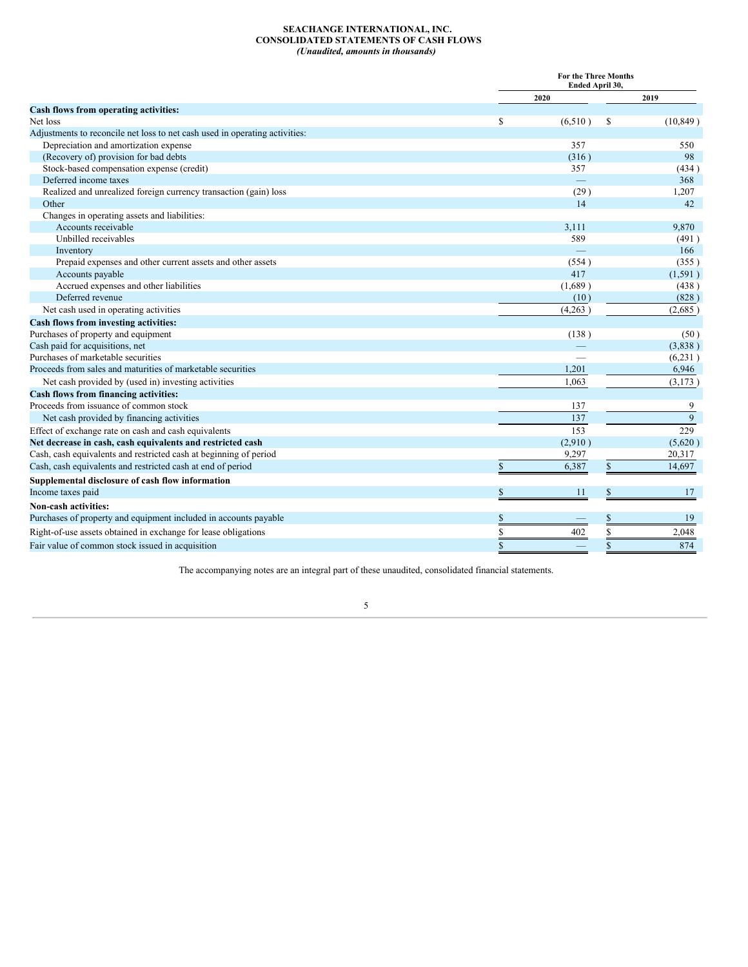# <span id="page-6-0"></span>**SEACHANGE INTERNATIONAL, INC. CONSOLIDATED STATEMENTS OF CASH FLOWS** *(Unaudited, amounts in thousands)*

|                                                                             |                   | For the Three Months<br>Ended April 30, |  |  |  |  |  |  |
|-----------------------------------------------------------------------------|-------------------|-----------------------------------------|--|--|--|--|--|--|
|                                                                             | 2020              | 2019                                    |  |  |  |  |  |  |
| Cash flows from operating activities:                                       |                   |                                         |  |  |  |  |  |  |
| Net loss                                                                    | \$<br>(6,510)     | (10, 849)<br>S                          |  |  |  |  |  |  |
| Adjustments to reconcile net loss to net cash used in operating activities: |                   |                                         |  |  |  |  |  |  |
| Depreciation and amortization expense                                       | 357               | 550                                     |  |  |  |  |  |  |
| (Recovery of) provision for bad debts                                       | (316)             | 98                                      |  |  |  |  |  |  |
| Stock-based compensation expense (credit)                                   | 357               | (434)                                   |  |  |  |  |  |  |
| Deferred income taxes                                                       | $\qquad \qquad -$ | 368                                     |  |  |  |  |  |  |
| Realized and unrealized foreign currency transaction (gain) loss            | (29)              | 1,207                                   |  |  |  |  |  |  |
| Other                                                                       | 14                | 42                                      |  |  |  |  |  |  |
| Changes in operating assets and liabilities:                                |                   |                                         |  |  |  |  |  |  |
| Accounts receivable                                                         | 3,111             | 9,870                                   |  |  |  |  |  |  |
| Unbilled receivables                                                        | 589               | (491)                                   |  |  |  |  |  |  |
| Inventory                                                                   |                   | 166                                     |  |  |  |  |  |  |
| Prepaid expenses and other current assets and other assets                  | (554)             | (355)                                   |  |  |  |  |  |  |
| Accounts payable                                                            | 417               | (1, 591)                                |  |  |  |  |  |  |
| Accrued expenses and other liabilities                                      | (1,689)           | (438)                                   |  |  |  |  |  |  |
| Deferred revenue                                                            | (10)              | (828)                                   |  |  |  |  |  |  |
| Net cash used in operating activities                                       | (4,263)           | (2,685)                                 |  |  |  |  |  |  |
| Cash flows from investing activities:                                       |                   |                                         |  |  |  |  |  |  |
| Purchases of property and equipment                                         | (138)             | (50)                                    |  |  |  |  |  |  |
| Cash paid for acquisitions, net                                             |                   | (3,838)                                 |  |  |  |  |  |  |
| Purchases of marketable securities                                          |                   | (6,231)                                 |  |  |  |  |  |  |
| Proceeds from sales and maturities of marketable securities                 | 1,201             | 6,946                                   |  |  |  |  |  |  |
| Net cash provided by (used in) investing activities                         | 1,063             | (3,173)                                 |  |  |  |  |  |  |
| Cash flows from financing activities:                                       |                   |                                         |  |  |  |  |  |  |
| Proceeds from issuance of common stock                                      | 137               | 9                                       |  |  |  |  |  |  |
| Net cash provided by financing activities                                   | 137               | 9                                       |  |  |  |  |  |  |
| Effect of exchange rate on cash and cash equivalents                        | 153               | 229                                     |  |  |  |  |  |  |
| Net decrease in cash, cash equivalents and restricted cash                  | (2,910)           | (5,620)                                 |  |  |  |  |  |  |
| Cash, cash equivalents and restricted cash at beginning of period           | 9,297             | 20,317                                  |  |  |  |  |  |  |
| Cash, cash equivalents and restricted cash at end of period                 | \$<br>6,387       | $\mathbb{S}$<br>14,697                  |  |  |  |  |  |  |
| Supplemental disclosure of cash flow information                            |                   |                                         |  |  |  |  |  |  |
| Income taxes paid                                                           | \$<br>11          | \$<br>17                                |  |  |  |  |  |  |
| Non-cash activities:                                                        |                   |                                         |  |  |  |  |  |  |
| Purchases of property and equipment included in accounts payable            | \$                | \$<br>19                                |  |  |  |  |  |  |
| Right-of-use assets obtained in exchange for lease obligations              | S<br>402          | S<br>2,048                              |  |  |  |  |  |  |
| Fair value of common stock issued in acquisition                            | \$                | 874<br>\$                               |  |  |  |  |  |  |

The accompanying notes are an integral part of these unaudited, consolidated financial statements.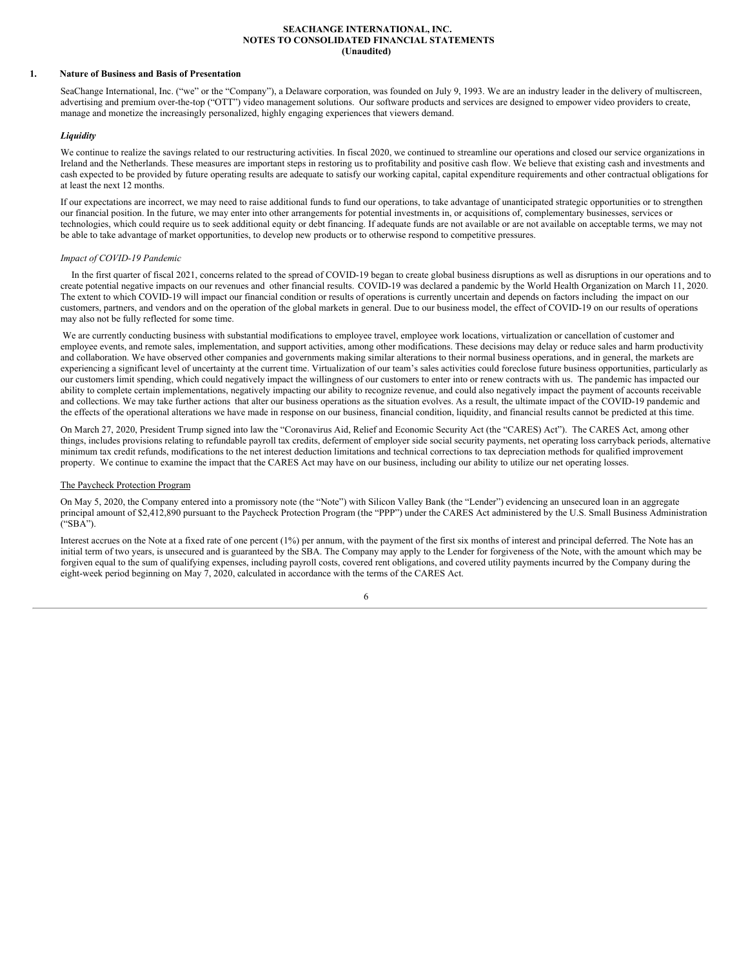## <span id="page-7-0"></span>**SEACHANGE INTERNATIONAL, INC. NOTES TO CONSOLIDATED FINANCIAL STATEMENTS (Unaudited)**

## **1. Nature of Business and Basis of Presentation**

SeaChange International, Inc. ("we" or the "Company"), a Delaware corporation, was founded on July 9, 1993. We are an industry leader in the delivery of multiscreen, advertising and premium over-the-top ("OTT") video management solutions. Our software products and services are designed to empower video providers to create, manage and monetize the increasingly personalized, highly engaging experiences that viewers demand.

#### *Liquidity*

We continue to realize the savings related to our restructuring activities. In fiscal 2020, we continued to streamline our operations and closed our service organizations in Ireland and the Netherlands. These measures are important steps in restoring us to profitability and positive cash flow. We believe that existing cash and investments and cash expected to be provided by future operating results are adequate to satisfy our working capital, capital expenditure requirements and other contractual obligations for at least the next 12 months.

If our expectations are incorrect, we may need to raise additional funds to fund our operations, to take advantage of unanticipated strategic opportunities or to strengthen our financial position. In the future, we may enter into other arrangements for potential investments in, or acquisitions of, complementary businesses, services or technologies, which could require us to seek additional equity or debt financing. If adequate funds are not available or are not available on acceptable terms, we may not be able to take advantage of market opportunities, to develop new products or to otherwise respond to competitive pressures.

#### *Impact of COVID-19 Pandemic*

In the first quarter of fiscal 2021, concerns related to the spread of COVID-19 began to create global business disruptions as well as disruptions in our operations and to create potential negative impacts on our revenues and other financial results. COVID-19 was declared a pandemic by the World Health Organization on March 11, 2020. The extent to which COVID-19 will impact our financial condition or results of operations is currently uncertain and depends on factors including the impact on our customers, partners, and vendors and on the operation of the global markets in general. Due to our business model, the effect of COVID-19 on our results of operations may also not be fully reflected for some time.

We are currently conducting business with substantial modifications to employee travel, employee work locations, virtualization or cancellation of customer and employee events, and remote sales, implementation, and support activities, among other modifications. These decisions may delay or reduce sales and harm productivity and collaboration. We have observed other companies and governments making similar alterations to their normal business operations, and in general, the markets are experiencing a significant level of uncertainty at the current time. Virtualization of our team's sales activities could foreclose future business opportunities, particularly as our customers limit spending, which could negatively impact the willingness of our customers to enter into or renew contracts with us. The pandemic has impacted our ability to complete certain implementations, negatively impacting our ability to recognize revenue, and could also negatively impact the payment of accounts receivable and collections. We may take further actions that alter our business operations as the situation evolves. As a result, the ultimate impact of the COVID-19 pandemic and the effects of the operational alterations we have made in response on our business, financial condition, liquidity, and financial results cannot be predicted at this time.

On March 27, 2020, President Trump signed into law the "Coronavirus Aid, Relief and Economic Security Act (the "CARES) Act"). The CARES Act, among other things, includes provisions relating to refundable payroll tax credits, deferment of employer side social security payments, net operating loss carryback periods, alternative minimum tax credit refunds, modifications to the net interest deduction limitations and technical corrections to tax depreciation methods for qualified improvement property. We continue to examine the impact that the CARES Act may have on our business, including our ability to utilize our net operating losses.

#### The Paycheck Protection Program

On May 5, 2020, the Company entered into a promissory note (the "Note") with Silicon Valley Bank (the "Lender") evidencing an unsecured loan in an aggregate principal amount of \$2,412,890 pursuant to the Paycheck Protection Program (the "PPP") under the CARES Act administered by the U.S. Small Business Administration ("SBA").

Interest accrues on the Note at a fixed rate of one percent (1%) per annum, with the payment of the first six months of interest and principal deferred. The Note has an initial term of two years, is unsecured and is guaranteed by the SBA. The Company may apply to the Lender for forgiveness of the Note, with the amount which may be forgiven equal to the sum of qualifying expenses, including payroll costs, covered rent obligations, and covered utility payments incurred by the Company during the eight-week period beginning on May 7, 2020, calculated in accordance with the terms of the CARES Act.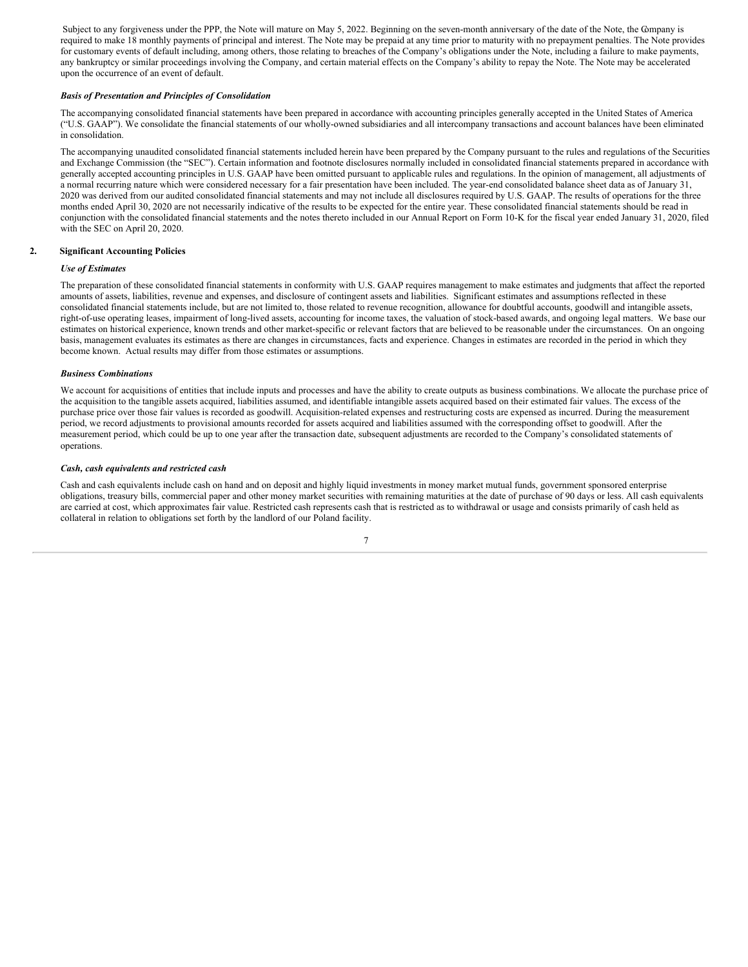Subject to any forgiveness under the PPP, the Note will mature on May 5, 2022. Beginning on the seven-month anniversary of the date of the Note, the Company is required to make 18 monthly payments of principal and interest. The Note may be prepaid at any time prior to maturity with no prepayment penalties. The Note provides for customary events of default including, among others, those relating to breaches of the Company's obligations under the Note, including a failure to make payments, any bankruptcy or similar proceedings involving the Company, and certain material effects on the Company's ability to repay the Note. The Note may be accelerated upon the occurrence of an event of default.

# *Basis of Presentation and Principles of Consolidation*

The accompanying consolidated financial statements have been prepared in accordance with accounting principles generally accepted in the United States of America ("U.S. GAAP"). We consolidate the financial statements of our wholly-owned subsidiaries and all intercompany transactions and account balances have been eliminated in consolidation.

The accompanying unaudited consolidated financial statements included herein have been prepared by the Company pursuant to the rules and regulations of the Securities and Exchange Commission (the "SEC"). Certain information and footnote disclosures normally included in consolidated financial statements prepared in accordance with generally accepted accounting principles in U.S. GAAP have been omitted pursuant to applicable rules and regulations. In the opinion of management, all adjustments of a normal recurring nature which were considered necessary for a fair presentation have been included. The year-end consolidated balance sheet data as of January 31, 2020 was derived from our audited consolidated financial statements and may not include all disclosures required by U.S. GAAP. The results of operations for the three months ended April 30, 2020 are not necessarily indicative of the results to be expected for the entire year. These consolidated financial statements should be read in conjunction with the consolidated financial statements and the notes thereto included in our Annual Report on Form 10-K for the fiscal year ended January 31, 2020, filed with the SEC on April 20, 2020.

# **2. Significant Accounting Policies**

# *Use of Estimates*

The preparation of these consolidated financial statements in conformity with U.S. GAAP requires management to make estimates and judgments that affect the reported amounts of assets, liabilities, revenue and expenses, and disclosure of contingent assets and liabilities. Significant estimates and assumptions reflected in these consolidated financial statements include, but are not limited to, those related to revenue recognition, allowance for doubtful accounts, goodwill and intangible assets, right-of-use operating leases, impairment of long-lived assets, accounting for income taxes, the valuation of stock-based awards, and ongoing legal matters. We base our estimates on historical experience, known trends and other market-specific or relevant factors that are believed to be reasonable under the circumstances. On an ongoing basis, management evaluates its estimates as there are changes in circumstances, facts and experience. Changes in estimates are recorded in the period in which they become known. Actual results may differ from those estimates or assumptions.

# *Business Combinations*

We account for acquisitions of entities that include inputs and processes and have the ability to create outputs as business combinations. We allocate the purchase price of the acquisition to the tangible assets acquired, liabilities assumed, and identifiable intangible assets acquired based on their estimated fair values. The excess of the purchase price over those fair values is recorded as goodwill. Acquisition-related expenses and restructuring costs are expensed as incurred. During the measurement period, we record adjustments to provisional amounts recorded for assets acquired and liabilities assumed with the corresponding offset to goodwill. After the measurement period, which could be up to one year after the transaction date, subsequent adjustments are recorded to the Company's consolidated statements of operations.

## *Cash, cash equivalents and restricted cash*

Cash and cash equivalents include cash on hand and on deposit and highly liquid investments in money market mutual funds, government sponsored enterprise obligations, treasury bills, commercial paper and other money market securities with remaining maturities at the date of purchase of 90 days or less. All cash equivalents are carried at cost, which approximates fair value. Restricted cash represents cash that is restricted as to withdrawal or usage and consists primarily of cash held as collateral in relation to obligations set forth by the landlord of our Poland facility.

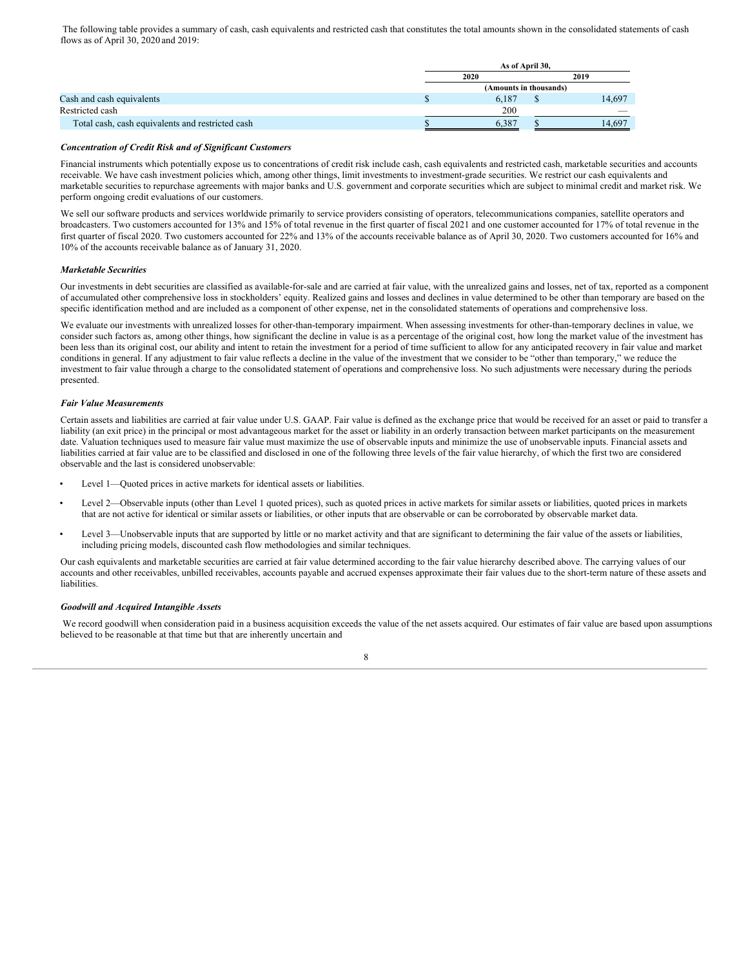The following table provides a summary of cash, cash equivalents and restricted cash that constitutes the total amounts shown in the consolidated statements of cash flows as of April 30, 2020 and 2019:

|                                                  | As of April 30.        |  |        |  |  |  |  |
|--------------------------------------------------|------------------------|--|--------|--|--|--|--|
|                                                  | 2020                   |  | 2019   |  |  |  |  |
|                                                  | (Amounts in thousands) |  |        |  |  |  |  |
| Cash and cash equivalents                        | 6.187                  |  | 14.697 |  |  |  |  |
| Restricted cash                                  | 200                    |  |        |  |  |  |  |
| Total cash, cash equivalents and restricted cash | 6.387                  |  | 14.697 |  |  |  |  |

#### *Concentration of Credit Risk and of Significant Customers*

Financial instruments which potentially expose us to concentrations of credit risk include cash, cash equivalents and restricted cash, marketable securities and accounts receivable. We have cash investment policies which, among other things, limit investments to investment-grade securities. We restrict our cash equivalents and marketable securities to repurchase agreements with major banks and U.S. government and corporate securities which are subject to minimal credit and market risk. We perform ongoing credit evaluations of our customers.

We sell our software products and services worldwide primarily to service providers consisting of operators, telecommunications companies, satellite operators and broadcasters. Two customers accounted for 13% and 15% of total revenue in the first quarter of fiscal 2021 and one customer accounted for 17% of total revenue in the first quarter of fiscal 2020. Two customers accounted for 22% and 13% of the accounts receivable balance as of April 30, 2020. Two customers accounted for 16% and 10% of the accounts receivable balance as of January 31, 2020.

#### *Marketable Securities*

Our investments in debt securities are classified as available-for-sale and are carried at fair value, with the unrealized gains and losses, net of tax, reported as a component of accumulated other comprehensive loss in stockholders' equity. Realized gains and losses and declines in value determined to be other than temporary are based on the specific identification method and are included as a component of other expense, net in the consolidated statements of operations and comprehensive loss.

We evaluate our investments with unrealized losses for other-than-temporary impairment. When assessing investments for other-than-temporary declines in value, we consider such factors as, among other things, how significant the decline in value is as a percentage of the original cost, how long the market value of the investment has been less than its original cost, our ability and intent to retain the investment for a period of time sufficient to allow for any anticipated recovery in fair value and market conditions in general. If any adjustment to fair value reflects a decline in the value of the investment that we consider to be "other than temporary," we reduce the investment to fair value through a charge to the consolidated statement of operations and comprehensive loss. No such adjustments were necessary during the periods presented.

# *Fair Value Measurements*

Certain assets and liabilities are carried at fair value under U.S. GAAP. Fair value is defined as the exchange price that would be received for an asset or paid to transfer a liability (an exit price) in the principal or most advantageous market for the asset or liability in an orderly transaction between market participants on the measurement date. Valuation techniques used to measure fair value must maximize the use of observable inputs and minimize the use of unobservable inputs. Financial assets and liabilities carried at fair value are to be classified and disclosed in one of the following three levels of the fair value hierarchy, of which the first two are considered observable and the last is considered unobservable:

- Level 1—Quoted prices in active markets for identical assets or liabilities.
- Level 2—Observable inputs (other than Level 1 quoted prices), such as quoted prices in active markets for similar assets or liabilities, quoted prices in markets that are not active for identical or similar assets or liabilities, or other inputs that are observable or can be corroborated by observable market data.
- Level 3—Unobservable inputs that are supported by little or no market activity and that are significant to determining the fair value of the assets or liabilities, including pricing models, discounted cash flow methodologies and similar techniques.

Our cash equivalents and marketable securities are carried at fair value determined according to the fair value hierarchy described above. The carrying values of our accounts and other receivables, unbilled receivables, accounts payable and accrued expenses approximate their fair values due to the short-term nature of these assets and liabilities.

# *Goodwill and Acquired Intangible Assets*

We record goodwill when consideration paid in a business acquisition exceeds the value of the net assets acquired. Our estimates of fair value are based upon assumptions believed to be reasonable at that time but that are inherently uncertain and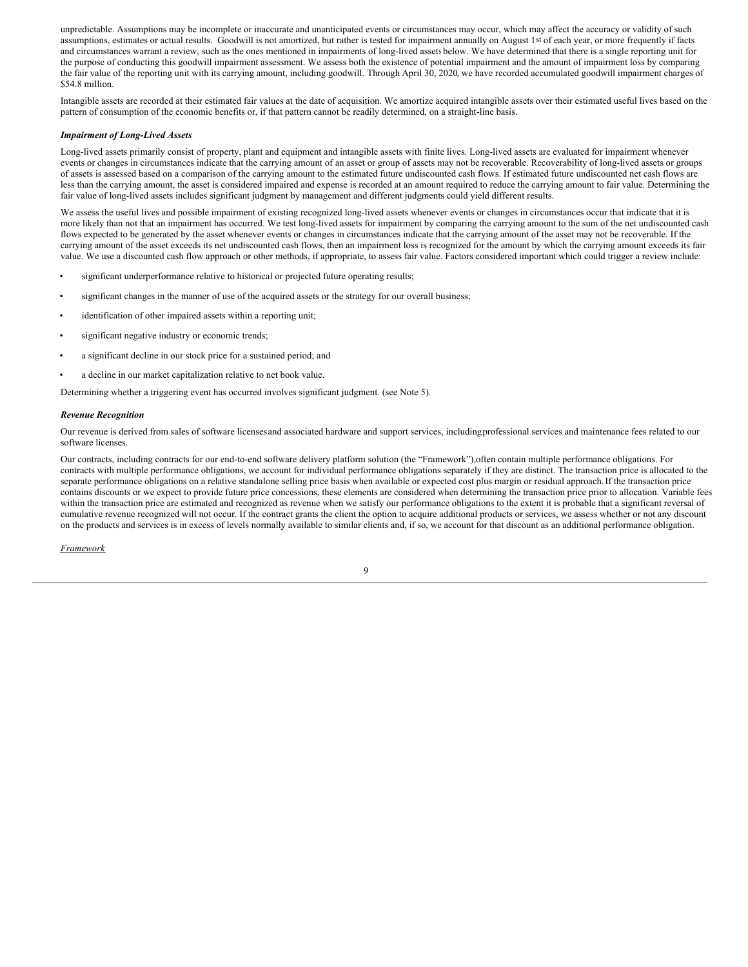unpredictable. Assumptions may be incomplete or inaccurate and unanticipated events or circumstances may occur, which may affect the accuracy or validity of such assumptions, estimates or actual results. Goodwill is not amortized, but rather is tested for impairment annually on August 1st of each year, or more frequently if facts and circumstances warrant a review, such as the ones mentioned in impairments of long-lived assets below. We have determined that there is a single reporting unit for the purpose of conducting this goodwill impairment assessment. We assess both the existence of potential impairment and the amount of impairment loss by comparing the fair value of the reporting unit with its carrying amount, including goodwill. Through April 30, 2020, we have recorded accumulated goodwill impairment charges of \$54.8 million.

Intangible assets are recorded at their estimated fair values at the date of acquisition. We amortize acquired intangible assets over their estimated useful lives based on the pattern of consumption of the economic benefits or, if that pattern cannot be readily determined, on a straight-line basis.

#### *Impairment of Long-Lived Assets*

Long-lived assets primarily consist of property, plant and equipment and intangible assets with finite lives. Long-lived assets are evaluated for impairment whenever events or changes in circumstances indicate that the carrying amount of an asset or group of assets may not be recoverable. Recoverability of long-lived assets or groups of assets is assessed based on a comparison of the carrying amount to the estimated future undiscounted cash flows. If estimated future undiscounted net cash flows are less than the carrying amount, the asset is considered impaired and expense is recorded at an amount required to reduce the carrying amount to fair value. Determining the fair value of long-lived assets includes significant judgment by management and different judgments could yield different results.

We assess the useful lives and possible impairment of existing recognized long-lived assets whenever events or changes in circumstances occur that indicate that it is more likely than not that an impairment has occurred. We test long-lived assets for impairment by comparing the carrying amount to the sum of the net undiscounted cash flows expected to be generated by the asset whenever events or changes in circumstances indicate that the carrying amount of the asset may not be recoverable. If the carrying amount of the asset exceeds its net undiscounted cash flows, then an impairment loss is recognized for the amount by which the carrying amount exceeds its fair value. We use a discounted cash flow approach or other methods, if appropriate, to assess fair value. Factors considered important which could trigger a review include:

- significant underperformance relative to historical or projected future operating results;
- significant changes in the manner of use of the acquired assets or the strategy for our overall business;
- identification of other impaired assets within a reporting unit;
- significant negative industry or economic trends:
- a significant decline in our stock price for a sustained period; and
- a decline in our market capitalization relative to net book value.

Determining whether a triggering event has occurred involves significant judgment. (see Note 5).

#### *Revenue Recognition*

Our revenue is derived from sales of software licensesand associated hardware and support services, includingprofessional services and maintenance fees related to our software licenses.

Our contracts, including contracts for our end-to-end software delivery platform solution (the "Framework"),often contain multiple performance obligations. For contracts with multiple performance obligations, we account for individual performance obligations separately if they are distinct. The transaction price is allocated to the separate performance obligations on a relative standalone selling price basis when available or expected cost plus margin or residual approach.If the transaction price contains discounts or we expect to provide future price concessions, these elements are considered when determining the transaction price prior to allocation. Variable fees within the transaction price are estimated and recognized as revenue when we satisfy our performance obligations to the extent it is probable that a significant reversal of cumulative revenue recognized will not occur. If the contract grants the client the option to acquire additional products or services, we assess whether or not any discount on the products and services is in excess of levels normally available to similar clients and, if so, we account for that discount as an additional performance obligation.

#### *Framework*

|   | ł  | I<br>I |  |
|---|----|--------|--|
| v | ۰. |        |  |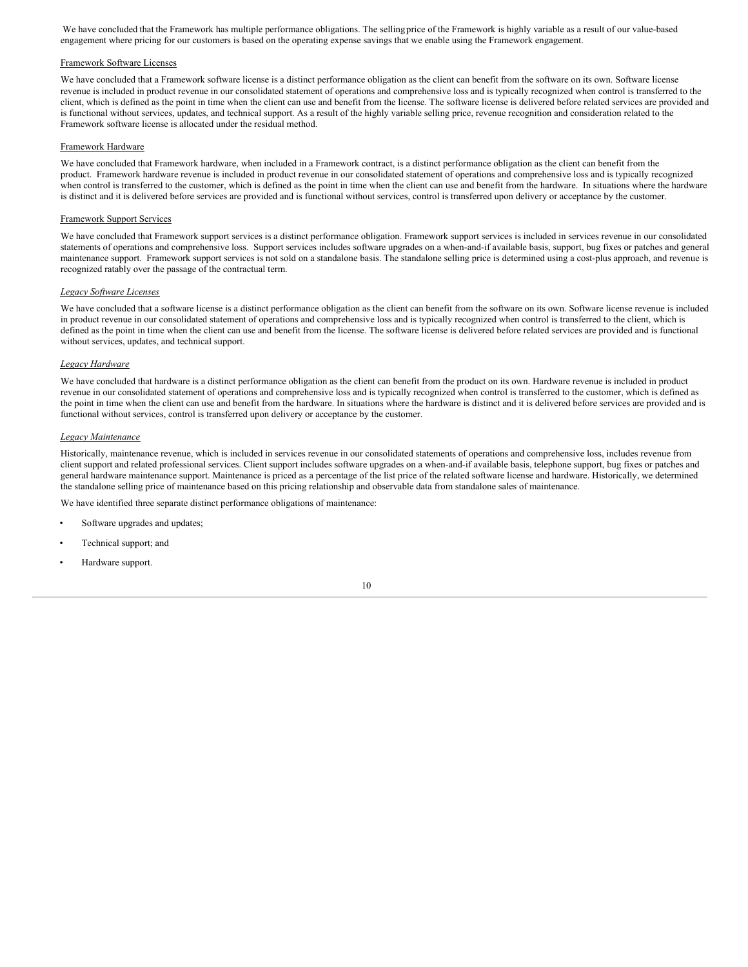We have concluded that the Framework has multiple performance obligations. The sellingprice of the Framework is highly variable as a result of our value-based engagement where pricing for our customers is based on the operating expense savings that we enable using the Framework engagement.

# Framework Software Licenses

We have concluded that a Framework software license is a distinct performance obligation as the client can benefit from the software on its own. Software license revenue is included in product revenue in our consolidated statement of operations and comprehensive loss and is typically recognized when control is transferred to the client, which is defined as the point in time when the client can use and benefit from the license. The software license is delivered before related services are provided and is functional without services, updates, and technical support. As a result of the highly variable selling price, revenue recognition and consideration related to the Framework software license is allocated under the residual method.

## Framework Hardware

We have concluded that Framework hardware, when included in a Framework contract, is a distinct performance obligation as the client can benefit from the product. Framework hardware revenue is included in product revenue in our consolidated statement of operations and comprehensive loss and is typically recognized when control is transferred to the customer, which is defined as the point in time when the client can use and benefit from the hardware. In situations where the hardware is distinct and it is delivered before services are provided and is functional without services, control is transferred upon delivery or acceptance by the customer.

### Framework Support Services

We have concluded that Framework support services is a distinct performance obligation. Framework support services is included in services revenue in our consolidated statements of operations and comprehensive loss. Support services includes software upgrades on a when-and-if available basis, support, bug fixes or patches and general maintenance support. Framework support services is not sold on a standalone basis. The standalone selling price is determined using a cost-plus approach, and revenue is recognized ratably over the passage of the contractual term.

#### *Legacy Software Licenses*

We have concluded that a software license is a distinct performance obligation as the client can benefit from the software on its own. Software license revenue is included in product revenue in our consolidated statement of operations and comprehensive loss and is typically recognized when control is transferred to the client, which is defined as the point in time when the client can use and benefit from the license. The software license is delivered before related services are provided and is functional without services, updates, and technical support.

## *Legacy Hardware*

We have concluded that hardware is a distinct performance obligation as the client can benefit from the product on its own. Hardware revenue is included in product revenue in our consolidated statement of operations and comprehensive loss and is typically recognized when control is transferred to the customer, which is defined as the point in time when the client can use and benefit from the hardware. In situations where the hardware is distinct and it is delivered before services are provided and is functional without services, control is transferred upon delivery or acceptance by the customer.

#### *Legacy Maintenance*

Historically, maintenance revenue, which is included in services revenue in our consolidated statements of operations and comprehensive loss, includes revenue from client support and related professional services. Client support includes software upgrades on a when-and-if available basis, telephone support, bug fixes or patches and general hardware maintenance support. Maintenance is priced as a percentage of the list price of the related software license and hardware. Historically, we determined the standalone selling price of maintenance based on this pricing relationship and observable data from standalone sales of maintenance.

We have identified three separate distinct performance obligations of maintenance:

- Software upgrades and updates;
- Technical support; and
- Hardware support.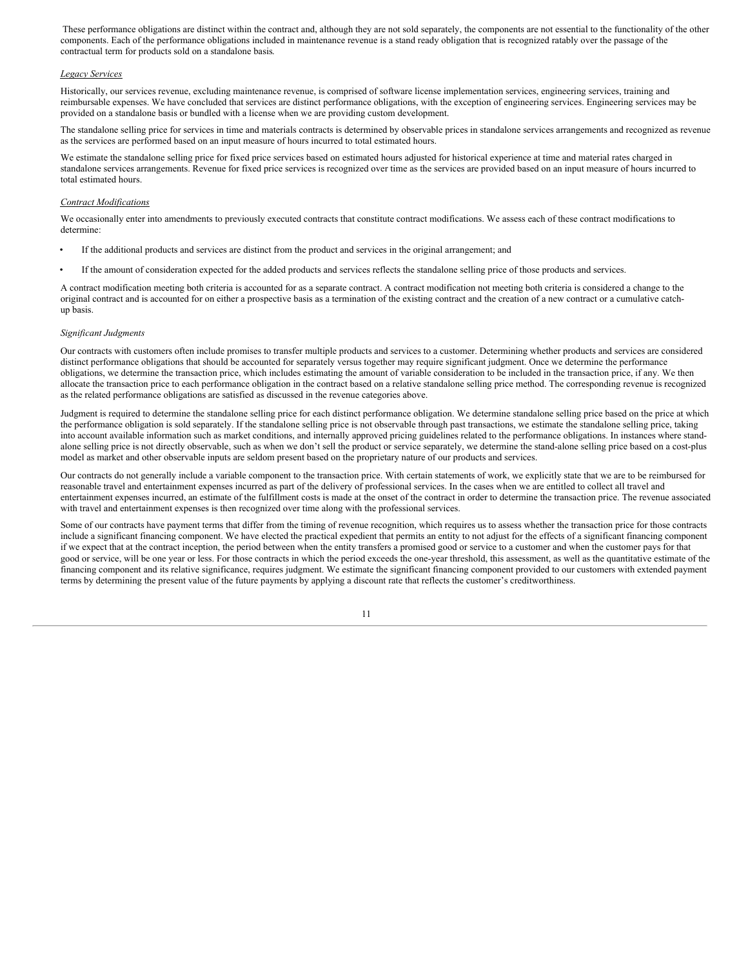These performance obligations are distinct within the contract and, although they are not sold separately, the components are not essential to the functionality of the other components. Each of the performance obligations included in maintenance revenue is a stand ready obligation that is recognized ratably over the passage of the contractual term for products sold on a standalone basis.

### *Legacy Services*

Historically, our services revenue, excluding maintenance revenue, is comprised of software license implementation services, engineering services, training and reimbursable expenses. We have concluded that services are distinct performance obligations, with the exception of engineering services. Engineering services may be provided on a standalone basis or bundled with a license when we are providing custom development.

The standalone selling price for services in time and materials contracts is determined by observable prices in standalone services arrangements and recognized as revenue as the services are performed based on an input measure of hours incurred to total estimated hours.

We estimate the standalone selling price for fixed price services based on estimated hours adjusted for historical experience at time and material rates charged in standalone services arrangements. Revenue for fixed price services is recognized over time as the services are provided based on an input measure of hours incurred to total estimated hours.

#### *Contract Modifications*

We occasionally enter into amendments to previously executed contracts that constitute contract modifications. We assess each of these contract modifications to determine:

- If the additional products and services are distinct from the product and services in the original arrangement; and
- If the amount of consideration expected for the added products and services reflects the standalone selling price of those products and services.

A contract modification meeting both criteria is accounted for as a separate contract. A contract modification not meeting both criteria is considered a change to the original contract and is accounted for on either a prospective basis as a termination of the existing contract and the creation of a new contract or a cumulative catchup basis.

#### *Significant Judgments*

Our contracts with customers often include promises to transfer multiple products and services to a customer. Determining whether products and services are considered distinct performance obligations that should be accounted for separately versus together may require significant judgment. Once we determine the performance obligations, we determine the transaction price, which includes estimating the amount of variable consideration to be included in the transaction price, if any. We then allocate the transaction price to each performance obligation in the contract based on a relative standalone selling price method. The corresponding revenue is recognized as the related performance obligations are satisfied as discussed in the revenue categories above.

Judgment is required to determine the standalone selling price for each distinct performance obligation. We determine standalone selling price based on the price at which the performance obligation is sold separately. If the standalone selling price is not observable through past transactions, we estimate the standalone selling price, taking into account available information such as market conditions, and internally approved pricing guidelines related to the performance obligations. In instances where standalone selling price is not directly observable, such as when we don't sell the product or service separately, we determine the stand-alone selling price based on a cost-plus model as market and other observable inputs are seldom present based on the proprietary nature of our products and services.

Our contracts do not generally include a variable component to the transaction price. With certain statements of work, we explicitly state that we are to be reimbursed for reasonable travel and entertainment expenses incurred as part of the delivery of professional services. In the cases when we are entitled to collect all travel and entertainment expenses incurred, an estimate of the fulfillment costs is made at the onset of the contract in order to determine the transaction price. The revenue associated with travel and entertainment expenses is then recognized over time along with the professional services.

Some of our contracts have payment terms that differ from the timing of revenue recognition, which requires us to assess whether the transaction price for those contracts include a significant financing component. We have elected the practical expedient that permits an entity to not adjust for the effects of a significant financing component if we expect that at the contract inception, the period between when the entity transfers a promised good or service to a customer and when the customer pays for that good or service, will be one year or less. For those contracts in which the period exceeds the one-year threshold, this assessment, as well as the quantitative estimate of the financing component and its relative significance, requires judgment. We estimate the significant financing component provided to our customers with extended payment terms by determining the present value of the future payments by applying a discount rate that reflects the customer's creditworthiness.

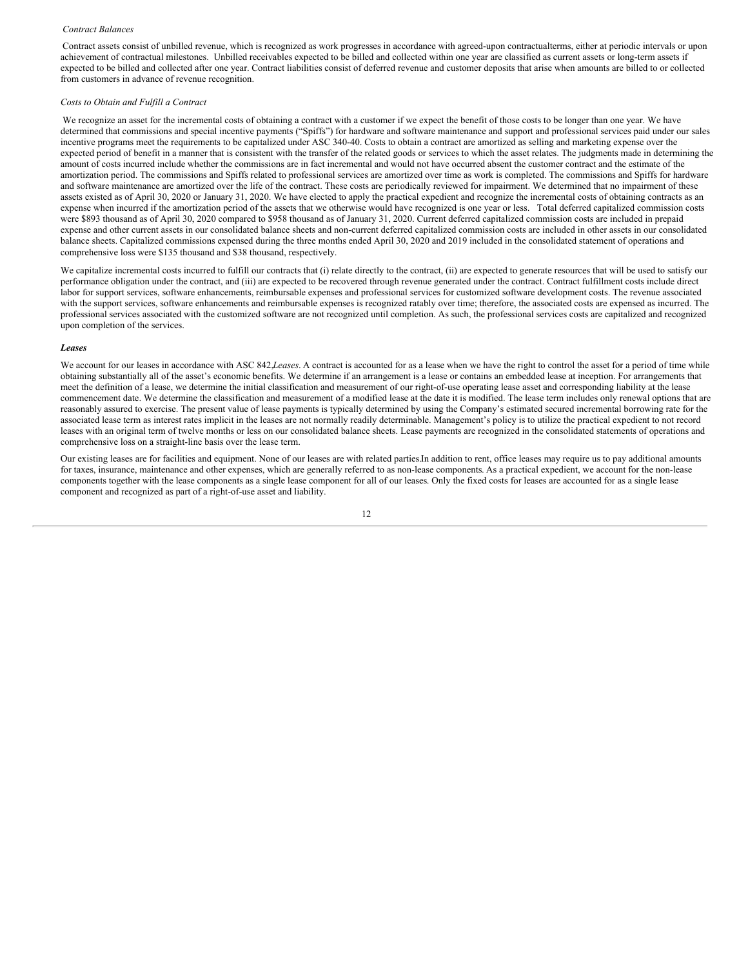#### *Contract Balances*

Contract assets consist of unbilled revenue, which is recognized as work progresses in accordance with agreed-upon contractualterms, either at periodic intervals or upon achievement of contractual milestones. Unbilled receivables expected to be billed and collected within one year are classified as current assets or long-term assets if expected to be billed and collected after one year. Contract liabilities consist of deferred revenue and customer deposits that arise when amounts are billed to or collected from customers in advance of revenue recognition.

#### *Costs to Obtain and Fulfill a Contract*

We recognize an asset for the incremental costs of obtaining a contract with a customer if we expect the benefit of those costs to be longer than one year. We have determined that commissions and special incentive payments ("Spiffs") for hardware and software maintenance and support and professional services paid under our sales incentive programs meet the requirements to be capitalized under ASC 340-40. Costs to obtain a contract are amortized as selling and marketing expense over the expected period of benefit in a manner that is consistent with the transfer of the related goods or services to which the asset relates. The judgments made in determining the amount of costs incurred include whether the commissions are in fact incremental and would not have occurred absent the customer contract and the estimate of the amortization period. The commissions and Spiffs related to professional services are amortized over time as work is completed. The commissions and Spiffs for hardware and software maintenance are amortized over the life of the contract. These costs are periodically reviewed for impairment. We determined that no impairment of these assets existed as of April 30, 2020 or January 31, 2020. We have elected to apply the practical expedient and recognize the incremental costs of obtaining contracts as an expense when incurred if the amortization period of the assets that we otherwise would have recognized is one year or less. Total deferred capitalized commission costs were \$893 thousand as of April 30, 2020 compared to \$958 thousand as of January 31, 2020. Current deferred capitalized commission costs are included in prepaid expense and other current assets in our consolidated balance sheets and non-current deferred capitalized commission costs are included in other assets in our consolidated balance sheets. Capitalized commissions expensed during the three months ended April 30, 2020 and 2019 included in the consolidated statement of operations and comprehensive loss were \$135 thousand and \$38 thousand, respectively.

We capitalize incremental costs incurred to fulfill our contracts that (i) relate directly to the contract, (ii) are expected to generate resources that will be used to satisfy our performance obligation under the contract, and (iii) are expected to be recovered through revenue generated under the contract. Contract fulfillment costs include direct labor for support services, software enhancements, reimbursable expenses and professional services for customized software development costs. The revenue associated with the support services, software enhancements and reimbursable expenses is recognized ratably over time; therefore, the associated costs are expensed as incurred. The professional services associated with the customized software are not recognized until completion. As such, the professional services costs are capitalized and recognized upon completion of the services.

#### *Leases*

We account for our leases in accordance with ASC 842,*Leases*. A contract is accounted for as a lease when we have the right to control the asset for a period of time while obtaining substantially all of the asset's economic benefits. We determine if an arrangement is a lease or contains an embedded lease at inception. For arrangements that meet the definition of a lease, we determine the initial classification and measurement of our right-of-use operating lease asset and corresponding liability at the lease commencement date. We determine the classification and measurement of a modified lease at the date it is modified. The lease term includes only renewal options that are reasonably assured to exercise. The present value of lease payments is typically determined by using the Company's estimated secured incremental borrowing rate for the associated lease term as interest rates implicit in the leases are not normally readily determinable. Management's policy is to utilize the practical expedient to not record leases with an original term of twelve months or less on our consolidated balance sheets. Lease payments are recognized in the consolidated statements of operations and comprehensive loss on a straight-line basis over the lease term.

Our existing leases are for facilities and equipment. None of our leases are with related parties.In addition to rent, office leases may require us to pay additional amounts for taxes, insurance, maintenance and other expenses, which are generally referred to as non-lease components. As a practical expedient, we account for the non-lease components together with the lease components as a single lease component for all of our leases. Only the fixed costs for leases are accounted for as a single lease component and recognized as part of a right-of-use asset and liability.

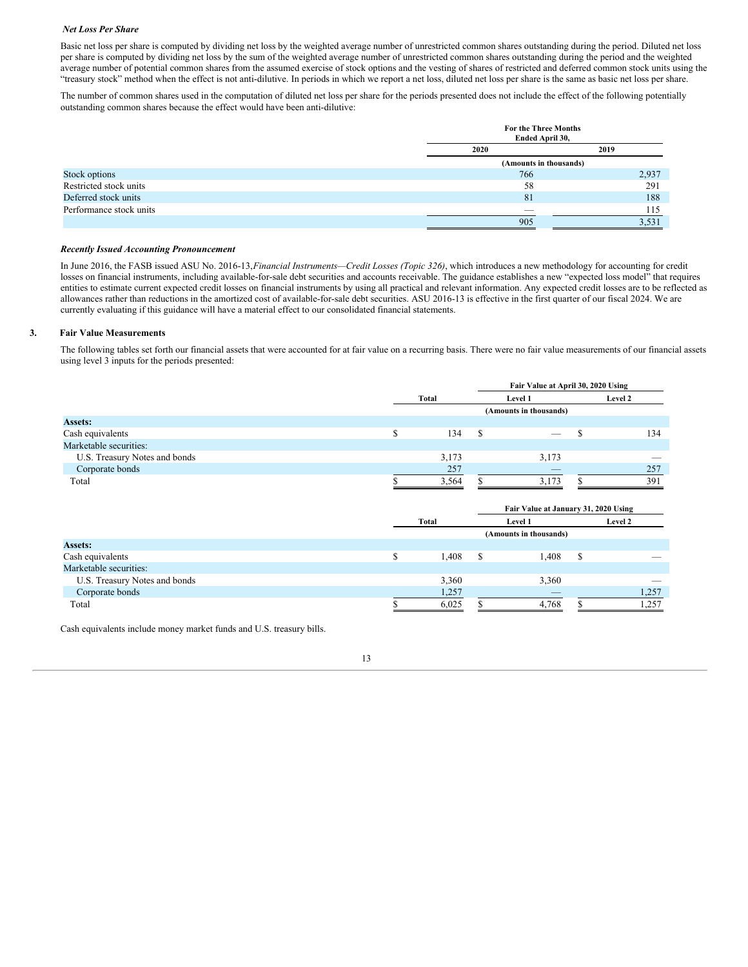## *Net Loss Per Share*

Basic net loss per share is computed by dividing net loss by the weighted average number of unrestricted common shares outstanding during the period. Diluted net loss per share is computed by dividing net loss by the sum of the weighted average number of unrestricted common shares outstanding during the period and the weighted average number of potential common shares from the assumed exercise of stock options and the vesting of shares of restricted and deferred common stock units using the "treasury stock" method when the effect is not anti-dilutive. In periods in which we report a net loss, diluted net loss per share is the same as basic net loss per share.

The number of common shares used in the computation of diluted net loss per share for the periods presented does not include the effect of the following potentially outstanding common shares because the effect would have been anti-dilutive:

|                         | For the Three Months<br>Ended April 30, |       |  |  |  |
|-------------------------|-----------------------------------------|-------|--|--|--|
|                         | 2020                                    | 2019  |  |  |  |
|                         | (Amounts in thousands)                  |       |  |  |  |
| Stock options           | 766                                     | 2,937 |  |  |  |
| Restricted stock units  | 58                                      | 291   |  |  |  |
| Deferred stock units    | 81                                      | 188   |  |  |  |
| Performance stock units | __                                      | 115   |  |  |  |
|                         | 905                                     | 3,531 |  |  |  |

#### *Recently Issued Accounting Pronouncement*

In June 2016, the FASB issued ASU No. 2016-13,*Financial Instruments—Credit Losses (Topic 326)*, which introduces a new methodology for accounting for credit losses on financial instruments, including available-for-sale debt securities and accounts receivable. The guidance establishes a new "expected loss model" that requires entities to estimate current expected credit losses on financial instruments by using all practical and relevant information. Any expected credit losses are to be reflected as allowances rather than reductions in the amortized cost of available-for-sale debt securities. ASU 2016-13 is effective in the first quarter of our fiscal 2024. We are currently evaluating if this guidance will have a material effect to our consolidated financial statements.

## **3. Fair Value Measurements**

The following tables set forth our financial assets that were accounted for at fair value on a recurring basis. There were no fair value measurements of our financial assets using level 3 inputs for the periods presented:

|                               |                        |   | Fair Value at April 30, 2020 Using |  |                          |  |  |
|-------------------------------|------------------------|---|------------------------------------|--|--------------------------|--|--|
|                               | Total                  |   | Level 1                            |  | Level 2                  |  |  |
|                               | (Amounts in thousands) |   |                                    |  |                          |  |  |
| <b>Assets:</b>                |                        |   |                                    |  |                          |  |  |
| Cash equivalents              | 134                    | S | $-$                                |  | 134                      |  |  |
| Marketable securities:        |                        |   |                                    |  |                          |  |  |
| U.S. Treasury Notes and bonds | 3,173                  |   | 3,173                              |  | $\overline{\phantom{a}}$ |  |  |
| Corporate bonds               | 257                    |   | $-$                                |  | 257                      |  |  |
| Total                         | 3,564                  |   | 3.173                              |  | 391                      |  |  |
|                               |                        |   |                                    |  |                          |  |  |

|                               |       |                        | Fair Value at January 31, 2020 Using |  |                          |  |  |  |
|-------------------------------|-------|------------------------|--------------------------------------|--|--------------------------|--|--|--|
|                               | Total |                        | Level 1                              |  | Level 2                  |  |  |  |
|                               |       | (Amounts in thousands) |                                      |  |                          |  |  |  |
| <b>Assets:</b>                |       |                        |                                      |  |                          |  |  |  |
| Cash equivalents              | 1.408 | -S                     | 1,408<br>S                           |  | $\overline{\phantom{a}}$ |  |  |  |
| Marketable securities:        |       |                        |                                      |  |                          |  |  |  |
| U.S. Treasury Notes and bonds | 3,360 |                        | 3,360                                |  | _                        |  |  |  |
| Corporate bonds               | 1,257 |                        |                                      |  | 1,257                    |  |  |  |
| Total                         | 6,025 |                        | 4,768                                |  | 1,257                    |  |  |  |

Cash equivalents include money market funds and U.S. treasury bills.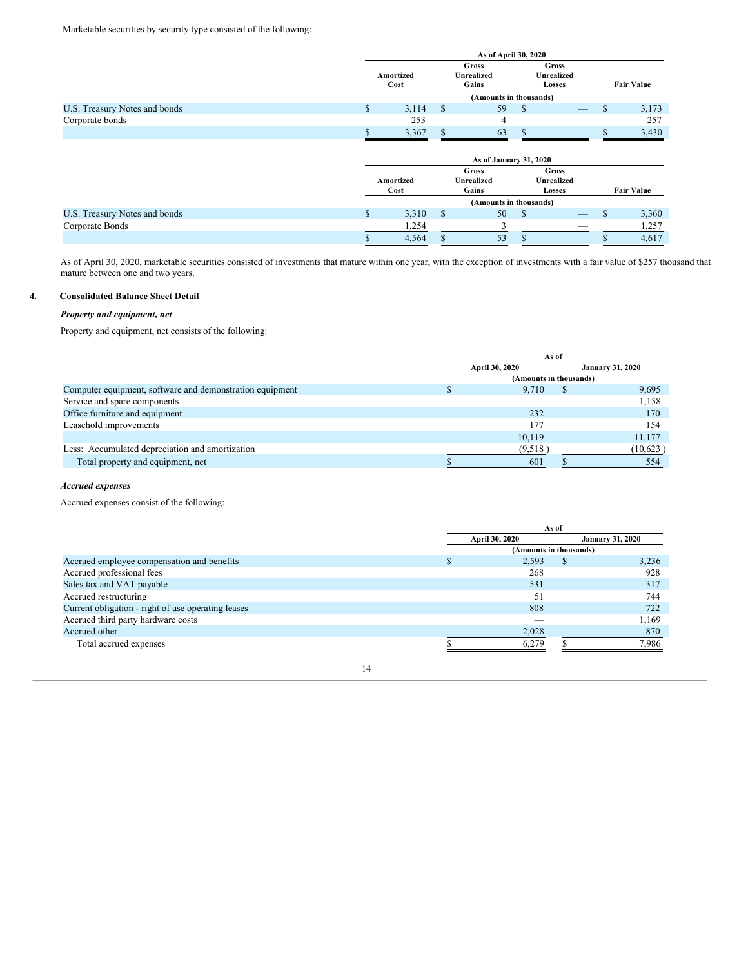|                               | As of April 30, 2020 |       |                                     |                        |  |                                      |  |                   |
|-------------------------------|----------------------|-------|-------------------------------------|------------------------|--|--------------------------------------|--|-------------------|
|                               | Amortized<br>Cost    |       | Gross<br><b>Unrealized</b><br>Gains |                        |  | Gross<br><b>Unrealized</b><br>Losses |  | <b>Fair Value</b> |
|                               |                      |       |                                     | (Amounts in thousands) |  |                                      |  |                   |
| U.S. Treasury Notes and bonds | ъ                    | 3,114 |                                     | 59                     |  | $-$                                  |  | 3,173             |
| Corporate bonds               |                      | 253   |                                     |                        |  | $-$                                  |  | 257               |
|                               |                      | 3,367 |                                     | 63                     |  | $-$                                  |  | 3,430             |

|                               |  |                   | As of January 31, 2020              |                                             |                   |
|-------------------------------|--|-------------------|-------------------------------------|---------------------------------------------|-------------------|
|                               |  | Amortized<br>Cost | Gross<br><b>Unrealized</b><br>Gains | Gross<br><b>Unrealized</b><br><b>Losses</b> | <b>Fair Value</b> |
|                               |  |                   | (Amounts in thousands)              |                                             |                   |
| U.S. Treasury Notes and bonds |  | 3,310             | 50                                  | $\qquad \qquad - \qquad$                    | 3,360             |
| Corporate Bonds               |  | 1,254             |                                     | _                                           | 1,257             |
|                               |  | 4,564             | 53                                  | $-$                                         | 4,617             |

As of April 30, 2020, marketable securities consisted of investments that mature within one year, with the exception of investments with a fair value of \$257 thousand that mature between one and two years.

# **4. Consolidated Balance Sheet Detail**

# *Property and equipment, net*

Property and equipment, net consists of the following:

|                                                          | As of                 |                        |                         |          |
|----------------------------------------------------------|-----------------------|------------------------|-------------------------|----------|
|                                                          | <b>April 30, 2020</b> |                        | <b>January 31, 2020</b> |          |
|                                                          |                       | (Amounts in thousands) |                         |          |
| Computer equipment, software and demonstration equipment |                       | 9.710                  |                         | 9,695    |
| Service and spare components                             |                       |                        |                         | 1,158    |
| Office furniture and equipment                           |                       | 232                    |                         | 170      |
| Leasehold improvements                                   |                       | 177                    |                         | 154      |
|                                                          |                       | 10,119                 |                         | 11.177   |
| Less: Accumulated depreciation and amortization          |                       | (9,518)                |                         | (10,623) |
| Total property and equipment, net                        |                       | 601                    |                         | 554      |

# *Accrued expenses*

Accrued expenses consist of the following:

| As of                 |       |    |                         |
|-----------------------|-------|----|-------------------------|
| <b>April 30, 2020</b> |       |    | <b>January 31, 2020</b> |
|                       |       |    |                         |
|                       | 2.593 | S. | 3.236                   |
|                       | 268   |    | 928                     |
|                       | 531   |    | 317                     |
|                       | 51    |    | 744                     |
|                       | 808   |    | 722                     |
|                       |       |    | 1,169                   |
|                       | 2,028 |    | 870                     |
|                       | 6.279 |    | 7,986                   |
|                       |       |    | (Amounts in thousands)  |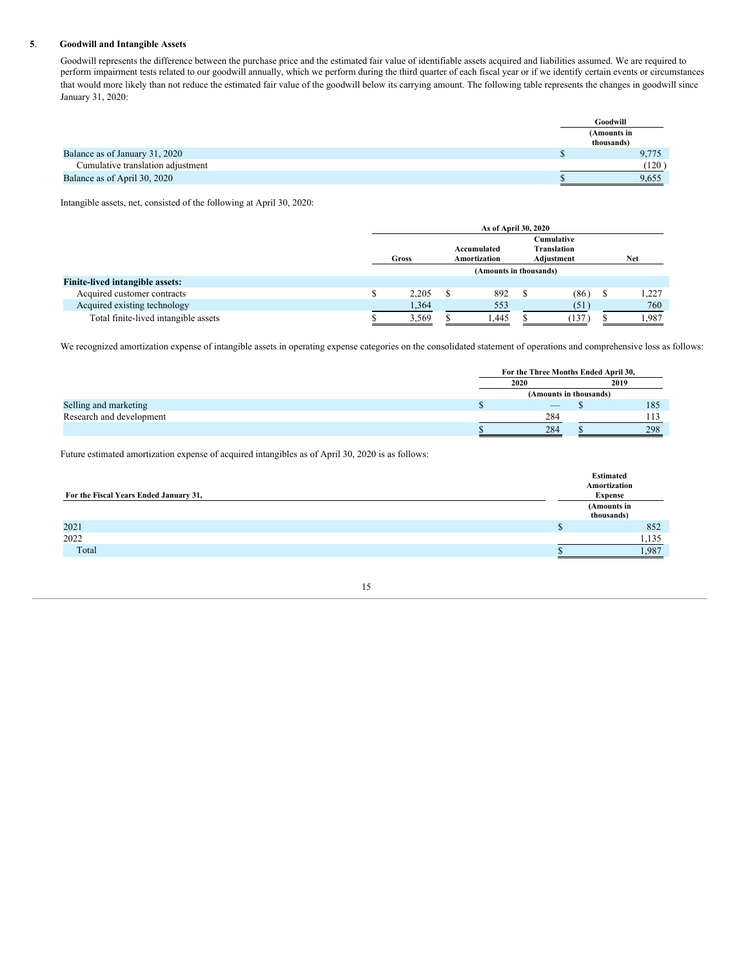# **5**. **Goodwill and Intangible Assets**

Goodwill represents the difference between the purchase price and the estimated fair value of identifiable assets acquired and liabilities assumed. We are required to perform impairment tests related to our goodwill annually, which we perform during the third quarter of each fiscal year or if we identify certain events or circumstances that would more likely than not reduce the estimated fair value of the goodwill below its carrying amount. The following table represents the changes in goodwill since January 31, 2020:

|                                   | Goodwill                  |
|-----------------------------------|---------------------------|
|                                   | (Amounts in<br>thousands) |
| Balance as of January 31, 2020    | 9.775                     |
| Cumulative translation adjustment | (120)                     |
| Balance as of April 30, 2020      | 9.655                     |

Intangible assets, net, consisted of the following at April 30, 2020:

|                                        | As of April 30, 2020   |                             |      |  |                                                |   |            |
|----------------------------------------|------------------------|-----------------------------|------|--|------------------------------------------------|---|------------|
|                                        | Gross                  | Accumulated<br>Amortization |      |  | Cumulative<br><b>Translation</b><br>Adjustment |   | <b>Net</b> |
|                                        | (Amounts in thousands) |                             |      |  |                                                |   |            |
| <b>Finite-lived intangible assets:</b> |                        |                             |      |  |                                                |   |            |
| Acquired customer contracts            | 2.205                  |                             | 892  |  | (86)                                           | S | 1.227      |
| Acquired existing technology           | 1,364                  |                             | 553  |  | (51)                                           |   | 760        |
| Total finite-lived intangible assets   | 3,569                  |                             | .445 |  | 137                                            |   | .987       |

We recognized amortization expense of intangible assets in operating expense categories on the consolidated statement of operations and comprehensive loss as follows:

|                          | For the Three Months Ended April 30, |      |     |  |
|--------------------------|--------------------------------------|------|-----|--|
|                          | 2020                                 | 2019 |     |  |
|                          | (Amounts in thousands)               |      |     |  |
| Selling and marketing    | $\overline{\phantom{a}}$             |      | 185 |  |
| Research and development | 284                                  |      | 13  |  |
|                          | 284                                  |      | 298 |  |

Future estimated amortization expense of acquired intangibles as of April 30, 2020 is as follows:

|                                        | <b>Estimated</b><br>Amortization |
|----------------------------------------|----------------------------------|
| For the Fiscal Years Ended January 31, | <b>Expense</b>                   |
|                                        | (Amounts in<br>thousands)        |
| 2021                                   | 852                              |
| 2022                                   | 1,135                            |
| Total                                  | .987                             |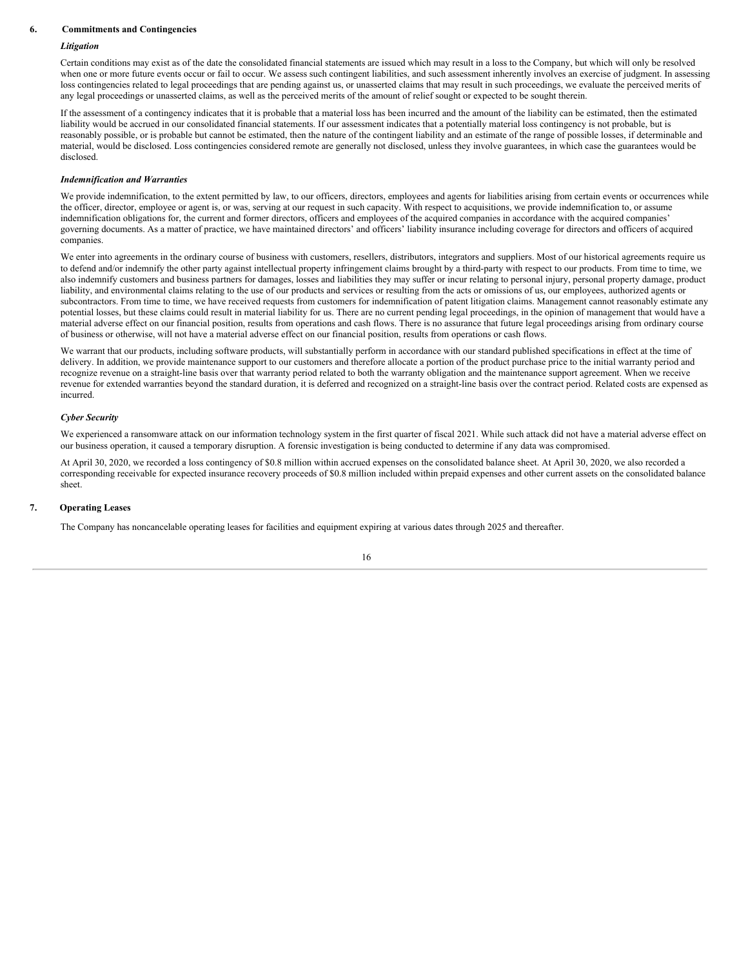#### **6. Commitments and Contingencies**

### *Litigation*

Certain conditions may exist as of the date the consolidated financial statements are issued which may result in a loss to the Company, but which will only be resolved when one or more future events occur or fail to occur. We assess such contingent liabilities, and such assessment inherently involves an exercise of judgment. In assessing loss contingencies related to legal proceedings that are pending against us, or unasserted claims that may result in such proceedings, we evaluate the perceived merits of any legal proceedings or unasserted claims, as well as the perceived merits of the amount of relief sought or expected to be sought therein.

If the assessment of a contingency indicates that it is probable that a material loss has been incurred and the amount of the liability can be estimated, then the estimated liability would be accrued in our consolidated financial statements. If our assessment indicates that a potentially material loss contingency is not probable, but is reasonably possible, or is probable but cannot be estimated, then the nature of the contingent liability and an estimate of the range of possible losses, if determinable and material, would be disclosed. Loss contingencies considered remote are generally not disclosed, unless they involve guarantees, in which case the guarantees would be disclosed.

#### *Indemnification and Warranties*

We provide indemnification, to the extent permitted by law, to our officers, directors, employees and agents for liabilities arising from certain events or occurrences while the officer, director, employee or agent is, or was, serving at our request in such capacity. With respect to acquisitions, we provide indemnification to, or assume indemnification obligations for, the current and former directors, officers and employees of the acquired companies in accordance with the acquired companies' governing documents. As a matter of practice, we have maintained directors' and officers' liability insurance including coverage for directors and officers of acquired companies.

We enter into agreements in the ordinary course of business with customers, resellers, distributors, integrators and suppliers. Most of our historical agreements require us to defend and/or indemnify the other party against intellectual property infringement claims brought by a third-party with respect to our products. From time to time, we also indemnify customers and business partners for damages, losses and liabilities they may suffer or incur relating to personal injury, personal property damage, product liability, and environmental claims relating to the use of our products and services or resulting from the acts or omissions of us, our employees, authorized agents or subcontractors. From time to time, we have received requests from customers for indemnification of patent litigation claims. Management cannot reasonably estimate any potential losses, but these claims could result in material liability for us. There are no current pending legal proceedings, in the opinion of management that would have a material adverse effect on our financial position, results from operations and cash flows. There is no assurance that future legal proceedings arising from ordinary course of business or otherwise, will not have a material adverse effect on our financial position, results from operations or cash flows.

We warrant that our products, including software products, will substantially perform in accordance with our standard published specifications in effect at the time of delivery. In addition, we provide maintenance support to our customers and therefore allocate a portion of the product purchase price to the initial warranty period and recognize revenue on a straight-line basis over that warranty period related to both the warranty obligation and the maintenance support agreement. When we receive revenue for extended warranties beyond the standard duration, it is deferred and recognized on a straight-line basis over the contract period. Related costs are expensed as incurred.

#### *Cyber Security*

We experienced a ransomware attack on our information technology system in the first quarter of fiscal 2021. While such attack did not have a material adverse effect on our business operation, it caused a temporary disruption. A forensic investigation is being conducted to determine if any data was compromised.

At April 30, 2020, we recorded a loss contingency of \$0.8 million within accrued expenses on the consolidated balance sheet. At April 30, 2020, we also recorded a corresponding receivable for expected insurance recovery proceeds of \$0.8 million included within prepaid expenses and other current assets on the consolidated balance sheet.

#### **7. Operating Leases**

The Company has noncancelable operating leases for facilities and equipment expiring at various dates through 2025 and thereafter.

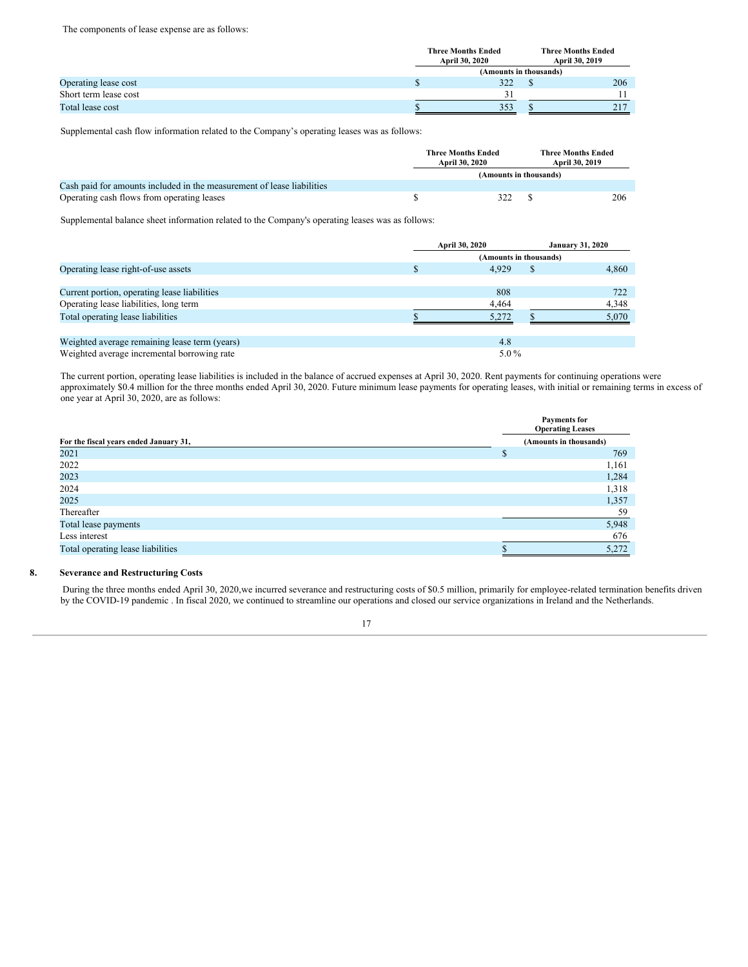The components of lease expense are as follows:

|                       | <b>Three Months Ended</b><br>April 30, 2020 |  | <b>Three Months Ended</b><br>April 30, 2019 |  |
|-----------------------|---------------------------------------------|--|---------------------------------------------|--|
|                       | (Amounts in thousands)                      |  |                                             |  |
| Operating lease cost  | 322                                         |  | 206                                         |  |
| Short term lease cost |                                             |  |                                             |  |
| Total lease cost      | 353                                         |  | 217                                         |  |

Supplemental cash flow information related to the Company's operating leases was as follows:

|                                                                        | Three Months Ended<br><b>April 30, 2020</b> |     | <b>Three Months Ended</b><br>April 30, 2019 |     |
|------------------------------------------------------------------------|---------------------------------------------|-----|---------------------------------------------|-----|
|                                                                        | (Amounts in thousands)                      |     |                                             |     |
| Cash paid for amounts included in the measurement of lease liabilities |                                             |     |                                             |     |
| Operating cash flows from operating leases                             |                                             | 322 |                                             | 206 |

Supplemental balance sheet information related to the Company's operating leases was as follows:

|                                               |   | April 30, 2020 |                        | <b>January 31, 2020</b> |
|-----------------------------------------------|---|----------------|------------------------|-------------------------|
|                                               |   |                | (Amounts in thousands) |                         |
| Operating lease right-of-use assets           | S | 4.929          |                        | 4,860                   |
|                                               |   |                |                        |                         |
| Current portion, operating lease liabilities  |   | 808            |                        | 722                     |
| Operating lease liabilities, long term        |   | 4,464          |                        | 4,348                   |
| Total operating lease liabilities             |   | 5.272          |                        | 5.070                   |
|                                               |   |                |                        |                         |
| Weighted average remaining lease term (years) |   | 4.8            |                        |                         |
| Weighted average incremental borrowing rate   |   | $5.0\%$        |                        |                         |

The current portion, operating lease liabilities is included in the balance of accrued expenses at April 30, 2020. Rent payments for continuing operations were approximately \$0.4 million for the three months ended April 30, 2020. Future minimum lease payments for operating leases, with initial or remaining terms in excess of one year at April 30, 2020, are as follows:

|                                        | <b>Payments for</b><br><b>Operating Leases</b> |  |  |  |
|----------------------------------------|------------------------------------------------|--|--|--|
| For the fiscal years ended January 31, | (Amounts in thousands)                         |  |  |  |
| 2021                                   | 769                                            |  |  |  |
| 2022                                   | 1,161                                          |  |  |  |
| 2023                                   | 1,284                                          |  |  |  |
| 2024                                   | 1,318                                          |  |  |  |
| 2025                                   | 1,357                                          |  |  |  |
| Thereafter                             | 59                                             |  |  |  |
| Total lease payments                   | 5,948                                          |  |  |  |
| Less interest                          | 676                                            |  |  |  |
| Total operating lease liabilities      | 5,272                                          |  |  |  |

## **8. Severance and Restructuring Costs**

During the three months ended April 30, 2020,we incurred severance and restructuring costs of \$0.5 million, primarily for employee-related termination benefits driven by the COVID-19 pandemic . In fiscal 2020, we continued to streamline our operations and closed our service organizations in Ireland and the Netherlands.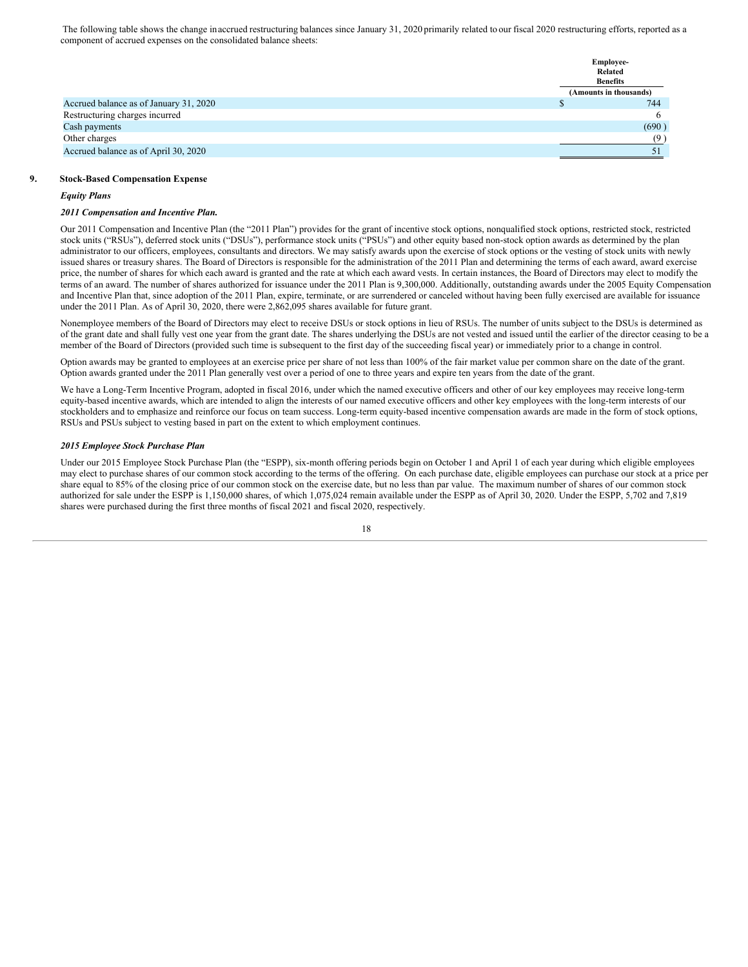The following table shows the change inaccrued restructuring balances since January 31, 2020 primarily related to our fiscal 2020 restructuring efforts, reported as a component of accrued expenses on the consolidated balance sheets:

|                                        | <b>Employee-</b>       |
|----------------------------------------|------------------------|
|                                        | Related                |
|                                        | <b>Benefits</b>        |
|                                        | (Amounts in thousands) |
| Accrued balance as of January 31, 2020 | 744                    |
| Restructuring charges incurred         | 6                      |
| Cash payments                          | (690)                  |
| Other charges                          | (9)                    |
| Accrued balance as of April 30, 2020   |                        |
|                                        |                        |

## **9. Stock-Based Compensation Expense**

#### *Equity Plans*

# *2011 Compensation and Incentive Plan.*

Our 2011 Compensation and Incentive Plan (the "2011 Plan") provides for the grant of incentive stock options, nonqualified stock options, restricted stock, restricted stock units ("RSUs"), deferred stock units ("DSUs"), performance stock units ("PSUs") and other equity based non-stock option awards as determined by the plan administrator to our officers, employees, consultants and directors. We may satisfy awards upon the exercise of stock options or the vesting of stock units with newly issued shares or treasury shares. The Board of Directors is responsible for the administration of the 2011 Plan and determining the terms of each award, award exercise price, the number of shares for which each award is granted and the rate at which each award vests. In certain instances, the Board of Directors may elect to modify the terms of an award. The number of shares authorized for issuance under the 2011 Plan is 9,300,000. Additionally, outstanding awards under the 2005 Equity Compensation and Incentive Plan that, since adoption of the 2011 Plan, expire, terminate, or are surrendered or canceled without having been fully exercised are available for issuance under the 2011 Plan. As of April 30, 2020, there were 2,862,095 shares available for future grant.

Nonemployee members of the Board of Directors may elect to receive DSUs or stock options in lieu of RSUs. The number of units subject to the DSUs is determined as of the grant date and shall fully vest one year from the grant date. The shares underlying the DSUs are not vested and issued until the earlier of the director ceasing to be a member of the Board of Directors (provided such time is subsequent to the first day of the succeeding fiscal year) or immediately prior to a change in control.

Option awards may be granted to employees at an exercise price per share of not less than 100% of the fair market value per common share on the date of the grant. Option awards granted under the 2011 Plan generally vest over a period of one to three years and expire ten years from the date of the grant.

We have a Long-Term Incentive Program, adopted in fiscal 2016, under which the named executive officers and other of our key employees may receive long-term equity-based incentive awards, which are intended to align the interests of our named executive officers and other key employees with the long-term interests of our stockholders and to emphasize and reinforce our focus on team success. Long-term equity-based incentive compensation awards are made in the form of stock options, RSUs and PSUs subject to vesting based in part on the extent to which employment continues.

#### *2015 Employee Stock Purchase Plan*

Under our 2015 Employee Stock Purchase Plan (the "ESPP), six-month offering periods begin on October 1 and April 1 of each year during which eligible employees may elect to purchase shares of our common stock according to the terms of the offering. On each purchase date, eligible employees can purchase our stock at a price per share equal to 85% of the closing price of our common stock on the exercise date, but no less than par value. The maximum number of shares of our common stock authorized for sale under the ESPP is 1,150,000 shares, of which 1,075,024 remain available under the ESPP as of April 30, 2020. Under the ESPP, 5,702 and 7,819 shares were purchased during the first three months of fiscal 2021 and fiscal 2020, respectively.

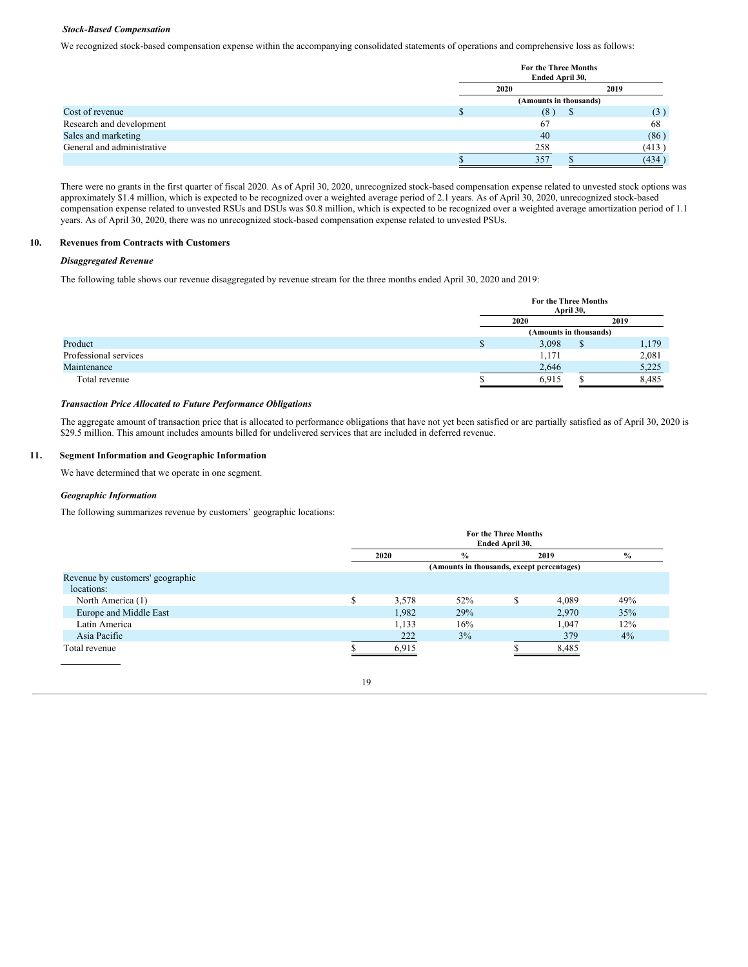# *Stock-Based Compensation*

We recognized stock-based compensation expense within the accompanying consolidated statements of operations and comprehensive loss as follows:

|                            | <b>For the Three Months</b><br>Ended April 30, |  |              |  |  |
|----------------------------|------------------------------------------------|--|--------------|--|--|
|                            | 2019<br>2020                                   |  |              |  |  |
|                            | (Amounts in thousands)                         |  |              |  |  |
| Cost of revenue            | (8)                                            |  | $\mathbf{3}$ |  |  |
| Research and development   | 67                                             |  | 68           |  |  |
| Sales and marketing        | 40                                             |  | (86)         |  |  |
| General and administrative | 258                                            |  | (413)        |  |  |
|                            | 357                                            |  | (434)        |  |  |

There were no grants in the first quarter of fiscal 2020. As of April 30, 2020, unrecognized stock-based compensation expense related to unvested stock options was approximately \$1.4 million, which is expected to be recognized over a weighted average period of 2.1 years. As of April 30, 2020, unrecognized stock-based compensation expense related to unvested RSUs and DSUs was \$0.8 million, which is expected to be recognized over a weighted average amortization period of 1.1 years. As of April 30, 2020, there was no unrecognized stock-based compensation expense related to unvested PSUs.

# **10. Revenues from Contracts with Customers**

# *Disaggregated Revenue*

The following table shows our revenue disaggregated by revenue stream for the three months ended April 30, 2020 and 2019:

|                       | For the Three Months   | April 30, |       |  |
|-----------------------|------------------------|-----------|-------|--|
|                       | 2020                   |           | 2019  |  |
|                       | (Amounts in thousands) |           |       |  |
| Product               | 3,098                  | S         | 1,179 |  |
| Professional services | 1,171                  |           | 2,081 |  |
| Maintenance           | 2,646                  |           | 5,225 |  |
| Total revenue         | 6,915                  |           | 8,485 |  |

#### *Transaction Price Allocated to Future Performance Obligations*

The aggregate amount of transaction price that is allocated to performance obligations that have not yet been satisfied or are partially satisfied as of April 30, 2020 is \$29.5 million. This amount includes amounts billed for undelivered services that are included in deferred revenue.

# **11. Segment Information and Geographic Information**

We have determined that we operate in one segment.

# *Geographic Information*

The following summarizes revenue by customers' geographic locations:

|                                  |   | <b>For the Three Months</b><br>Ended April 30, |                                            |   |       |       |  |  |  |
|----------------------------------|---|------------------------------------------------|--------------------------------------------|---|-------|-------|--|--|--|
|                                  |   | 2020                                           | $\frac{0}{0}$                              |   | 2019  | $\%$  |  |  |  |
|                                  |   |                                                | (Amounts in thousands, except percentages) |   |       |       |  |  |  |
| Revenue by customers' geographic |   |                                                |                                            |   |       |       |  |  |  |
| locations:                       |   |                                                |                                            |   |       |       |  |  |  |
| North America (1)                | S | 3,578                                          | 52%                                        | S | 4,089 | 49%   |  |  |  |
| Europe and Middle East           |   | 1,982                                          | 29%                                        |   | 2.970 | 35%   |  |  |  |
| Latin America                    |   | 1,133                                          | 16%                                        |   | 1,047 | 12%   |  |  |  |
| Asia Pacific                     |   | 222                                            | $3\%$                                      |   | 379   | $4\%$ |  |  |  |
| Total revenue                    |   | 6.915                                          |                                            |   | 8,485 |       |  |  |  |
|                                  |   |                                                |                                            |   |       |       |  |  |  |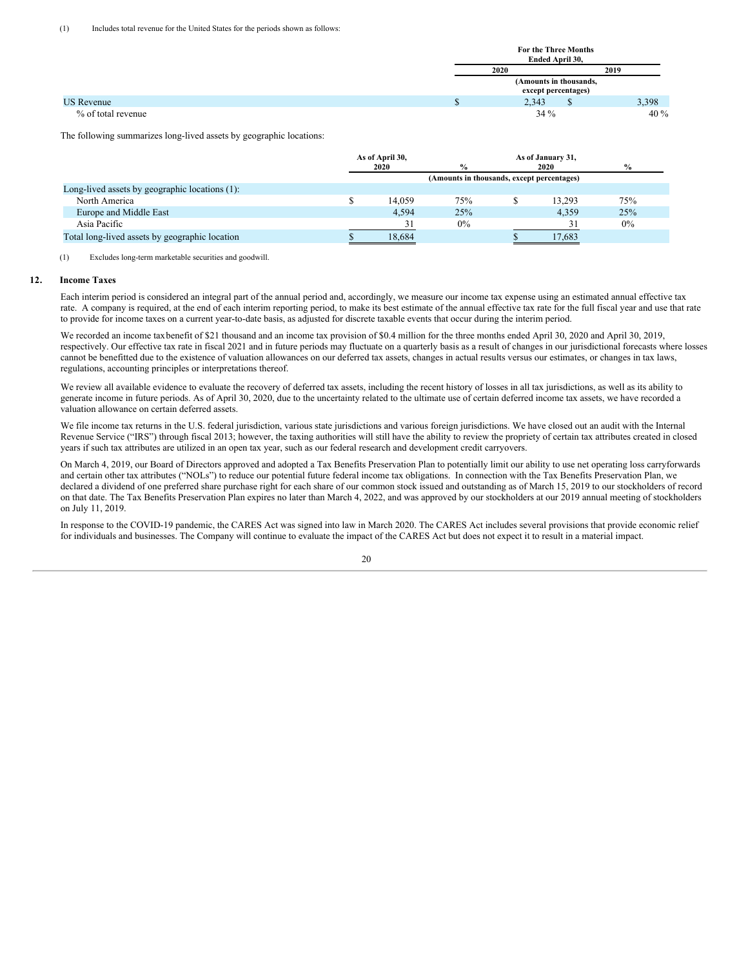|                    | <b>For the Three Months</b> |                     |   |        |  |
|--------------------|-----------------------------|---------------------|---|--------|--|
|                    | Ended April 30,             |                     |   |        |  |
|                    | 2020                        | 2019                |   |        |  |
|                    | (Amounts in thousands,      |                     |   |        |  |
|                    |                             | except percentages) |   |        |  |
| <b>US</b> Revenue  |                             | 2,343               | D | 3,398  |  |
| % of total revenue |                             | $34\%$              |   | $40\%$ |  |

The following summarizes long-lived assets by geographic locations:

|                                                | As of April 30,<br>2020 |        | $\frac{0}{0}$                              | As of January 31,<br>2020 | $\frac{0}{0}$ |  |
|------------------------------------------------|-------------------------|--------|--------------------------------------------|---------------------------|---------------|--|
|                                                |                         |        | (Amounts in thousands, except percentages) |                           |               |  |
| Long-lived assets by geographic locations (1): |                         |        |                                            |                           |               |  |
| North America                                  |                         | 14,059 | 75%                                        | 13.293                    | 75%           |  |
| Europe and Middle East                         |                         | 4.594  | 25%                                        | 4.359                     | 25%           |  |
| Asia Pacific                                   |                         | 31     | $0\%$                                      | 31                        | 0%            |  |
| Total long-lived assets by geographic location |                         | 18,684 |                                            | 17,683                    |               |  |

(1) Excludes long-term marketable securities and goodwill.

# **12. Income Taxes**

Each interim period is considered an integral part of the annual period and, accordingly, we measure our income tax expense using an estimated annual effective tax rate. A company is required, at the end of each interim reporting period, to make its best estimate of the annual effective tax rate for the full fiscal year and use that rate to provide for income taxes on a current year-to-date basis, as adjusted for discrete taxable events that occur during the interim period.

We recorded an income taxbenefit of \$21 thousand and an income tax provision of \$0.4 million for the three months ended April 30, 2020 and April 30, 2019, respectively. Our effective tax rate in fiscal 2021 and in future periods may fluctuate on a quarterly basis as a result of changes in our jurisdictional forecasts where losses cannot be benefitted due to the existence of valuation allowances on our deferred tax assets, changes in actual results versus our estimates, or changes in tax laws, regulations, accounting principles or interpretations thereof.

We review all available evidence to evaluate the recovery of deferred tax assets, including the recent history of losses in all tax jurisdictions, as well as its ability to generate income in future periods. As of April 30, 2020, due to the uncertainty related to the ultimate use of certain deferred income tax assets, we have recorded a valuation allowance on certain deferred assets.

We file income tax returns in the U.S. federal jurisdiction, various state jurisdictions and various foreign jurisdictions. We have closed out an audit with the Internal Revenue Service ("IRS") through fiscal 2013; however, the taxing authorities will still have the ability to review the propriety of certain tax attributes created in closed years if such tax attributes are utilized in an open tax year, such as our federal research and development credit carryovers.

On March 4, 2019, our Board of Directors approved and adopted a Tax Benefits Preservation Plan to potentially limit our ability to use net operating loss carryforwards and certain other tax attributes ("NOLs") to reduce our potential future federal income tax obligations. In connection with the Tax Benefits Preservation Plan, we declared a dividend of one preferred share purchase right for each share of our common stock issued and outstanding as of March 15, 2019 to our stockholders of record on that date. The Tax Benefits Preservation Plan expires no later than March 4, 2022, and was approved by our stockholders at our 2019 annual meeting of stockholders on July 11, 2019.

In response to the COVID-19 pandemic, the CARES Act was signed into law in March 2020. The CARES Act includes several provisions that provide economic relief for individuals and businesses. The Company will continue to evaluate the impact of the CARES Act but does not expect it to result in a material impact.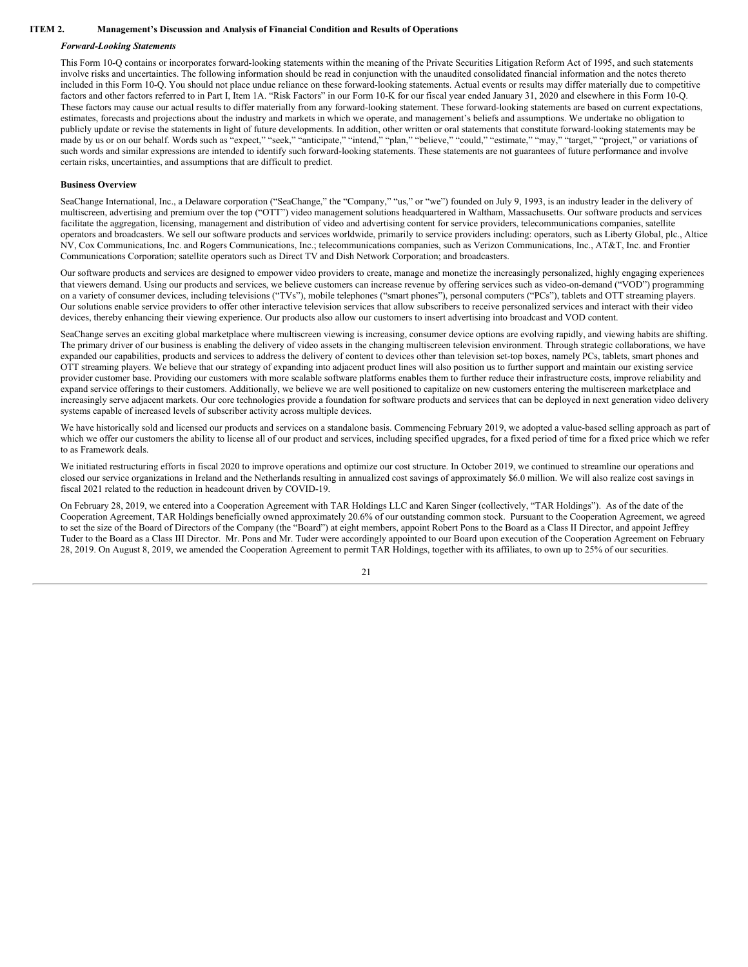#### **ITEM 2. Management's Discussion and Analysis of Financial Condition and Results of Operations**

#### <span id="page-22-0"></span>*Forward-Looking Statements*

This Form 10-Q contains or incorporates forward-looking statements within the meaning of the Private Securities Litigation Reform Act of 1995, and such statements involve risks and uncertainties. The following information should be read in conjunction with the unaudited consolidated financial information and the notes thereto included in this Form 10-Q. You should not place undue reliance on these forward-looking statements. Actual events or results may differ materially due to competitive factors and other factors referred to in Part I, Item 1A. "Risk Factors" in our Form 10-K for our fiscal year ended January 31, 2020 and elsewhere in this Form 10-Q. These factors may cause our actual results to differ materially from any forward-looking statement. These forward-looking statements are based on current expectations, estimates, forecasts and projections about the industry and markets in which we operate, and management's beliefs and assumptions. We undertake no obligation to publicly update or revise the statements in light of future developments. In addition, other written or oral statements that constitute forward-looking statements may be made by us or on our behalf. Words such as "expect," "seek," "anticipate," "intend," "plan," "believe," "could," "estimate," "may," "target," "project," or variations of such words and similar expressions are intended to identify such forward-looking statements. These statements are not guarantees of future performance and involve certain risks, uncertainties, and assumptions that are difficult to predict.

#### **Business Overview**

SeaChange International, Inc., a Delaware corporation ("SeaChange," the "Company," "us," or "we") founded on July 9, 1993, is an industry leader in the delivery of multiscreen, advertising and premium over the top ("OTT") video management solutions headquartered in Waltham, Massachusetts. Our software products and services facilitate the aggregation, licensing, management and distribution of video and advertising content for service providers, telecommunications companies, satellite operators and broadcasters. We sell our software products and services worldwide, primarily to service providers including: operators, such as Liberty Global, plc., Altice NV, Cox Communications, Inc. and Rogers Communications, Inc.; telecommunications companies, such as Verizon Communications, Inc., AT&T, Inc. and Frontier Communications Corporation; satellite operators such as Direct TV and Dish Network Corporation; and broadcasters.

Our software products and services are designed to empower video providers to create, manage and monetize the increasingly personalized, highly engaging experiences that viewers demand. Using our products and services, we believe customers can increase revenue by offering services such as video-on-demand ("VOD") programming on a variety of consumer devices, including televisions ("TVs"), mobile telephones ("smart phones"), personal computers ("PCs"), tablets and OTT streaming players. Our solutions enable service providers to offer other interactive television services that allow subscribers to receive personalized services and interact with their video devices, thereby enhancing their viewing experience. Our products also allow our customers to insert advertising into broadcast and VOD content.

SeaChange serves an exciting global marketplace where multiscreen viewing is increasing, consumer device options are evolving rapidly, and viewing habits are shifting. The primary driver of our business is enabling the delivery of video assets in the changing multiscreen television environment. Through strategic collaborations, we have expanded our capabilities, products and services to address the delivery of content to devices other than television set-top boxes, namely PCs, tablets, smart phones and OTT streaming players. We believe that our strategy of expanding into adjacent product lines will also position us to further support and maintain our existing service provider customer base. Providing our customers with more scalable software platforms enables them to further reduce their infrastructure costs, improve reliability and expand service offerings to their customers. Additionally, we believe we are well positioned to capitalize on new customers entering the multiscreen marketplace and increasingly serve adjacent markets. Our core technologies provide a foundation for software products and services that can be deployed in next generation video delivery systems capable of increased levels of subscriber activity across multiple devices.

We have historically sold and licensed our products and services on a standalone basis. Commencing February 2019, we adopted a value-based selling approach as part of which we offer our customers the ability to license all of our product and services, including specified upgrades, for a fixed period of time for a fixed price which we refer to as Framework deals.

We initiated restructuring efforts in fiscal 2020 to improve operations and optimize our cost structure. In October 2019, we continued to streamline our operations and closed our service organizations in Ireland and the Netherlands resulting in annualized cost savings of approximately \$6.0 million. We will also realize cost savings in fiscal 2021 related to the reduction in headcount driven by COVID-19.

On February 28, 2019, we entered into a Cooperation Agreement with TAR Holdings LLC and Karen Singer (collectively, "TAR Holdings"). As of the date of the Cooperation Agreement, TAR Holdings beneficially owned approximately 20.6% of our outstanding common stock. Pursuant to the Cooperation Agreement, we agreed to set the size of the Board of Directors of the Company (the "Board") at eight members, appoint Robert Pons to the Board as a Class II Director, and appoint Jeffrey Tuder to the Board as a Class III Director. Mr. Pons and Mr. Tuder were accordingly appointed to our Board upon execution of the Cooperation Agreement on February 28, 2019. On August 8, 2019, we amended the Cooperation Agreement to permit TAR Holdings, together with its affiliates, to own up to 25% of our securities.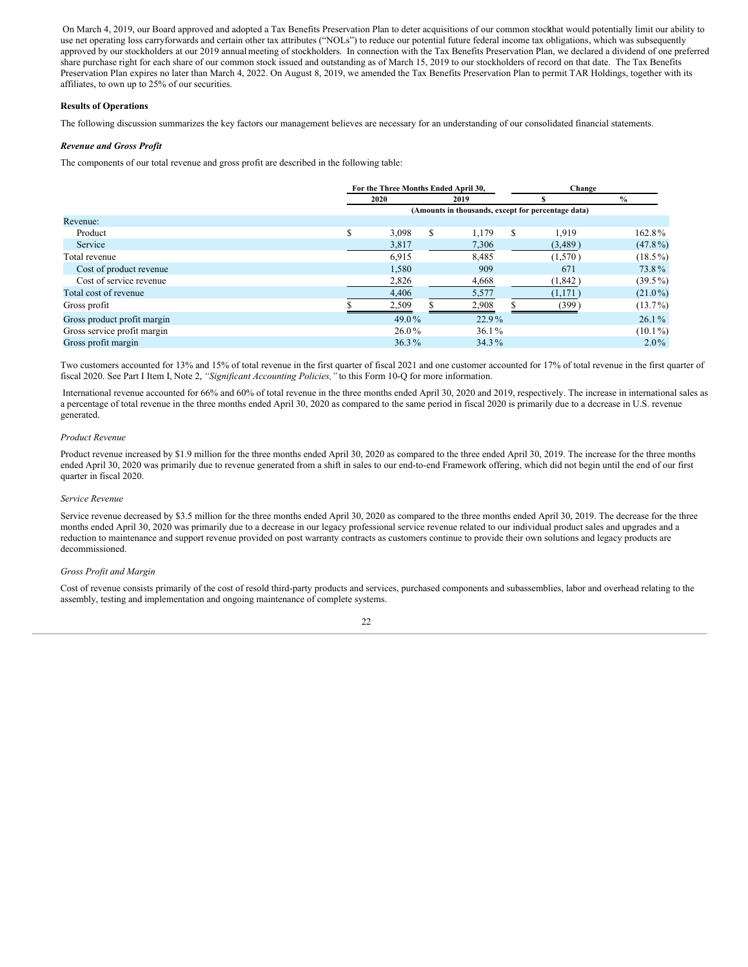On March 4, 2019, our Board approved and adopted a Tax Benefits Preservation Plan to deter acquisitions of our common stockthat would potentially limit our ability to use net operating loss carryforwards and certain other tax attributes ("NOLs") to reduce our potential future federal income tax obligations, which was subsequently approved by our stockholders at our 2019 annual meeting of stockholders. In connection with the Tax Benefits Preservation Plan, we declared a dividend of one preferred share purchase right for each share of our common stock issued and outstanding as of March 15, 2019 to our stockholders of record on that date. The Tax Benefits Preservation Plan expires no later than March 4, 2022. On August 8, 2019, we amended the Tax Benefits Preservation Plan to permit TAR Holdings, together with its affiliates, to own up to 25% of our securities.

# **Results of Operations**

The following discussion summarizes the key factors our management believes are necessary for an understanding of our consolidated financial statements.

# *Revenue and Gross Profit*

The components of our total revenue and gross profit are described in the following table:

|                             | For the Three Months Ended April 30, |   |          |   | Change                                             |               |  |
|-----------------------------|--------------------------------------|---|----------|---|----------------------------------------------------|---------------|--|
|                             | 2020                                 |   | 2019     |   |                                                    | $\frac{0}{0}$ |  |
|                             |                                      |   |          |   | (Amounts in thousands, except for percentage data) |               |  |
| Revenue:                    |                                      |   |          |   |                                                    |               |  |
| Product                     | \$<br>3,098                          | S | 1.179    | S | 1,919                                              | 162.8%        |  |
| Service                     | 3,817                                |   | 7,306    |   | (3,489)                                            | $(47.8\%)$    |  |
| Total revenue               | 6,915                                |   | 8,485    |   | (1,570)                                            | $(18.5\%)$    |  |
| Cost of product revenue     | 1,580                                |   | 909      |   | 671                                                | 73.8%         |  |
| Cost of service revenue     | 2,826                                |   | 4,668    |   | (1,842)                                            | $(39.5\%)$    |  |
| Total cost of revenue       | 4,406                                |   | 5,577    |   | (1,171)                                            | $(21.0\%)$    |  |
| Gross profit                | 2,509                                |   | 2,908    |   | (399)                                              | $(13.7\%)$    |  |
| Gross product profit margin | 49.0%                                |   | $22.9\%$ |   |                                                    | $26.1\%$      |  |
| Gross service profit margin | 26.0%                                |   | $36.1\%$ |   |                                                    | $(10.1\%)$    |  |
| Gross profit margin         | $36.3\%$                             |   | $34.3\%$ |   |                                                    | $2.0\%$       |  |

Two customers accounted for 13% and 15% of total revenue in the first quarter of fiscal 2021 and one customer accounted for 17% of total revenue in the first quarter of fiscal 2020. See Part I Item I, Note 2, *"Significant Accounting Policies,"* to this Form 10-Q for more information.

International revenue accounted for 66% and 60% of total revenue in the three months ended April 30, 2020 and 2019, respectively. The increase in international sales as a percentage of total revenue in the three months ended April 30, 2020 as compared to the same period in fiscal 2020 is primarily due to a decrease in U.S. revenue generated.

#### *Product Revenue*

Product revenue increased by \$1.9 million for the three months ended April 30, 2020 as compared to the three ended April 30, 2019. The increase for the three months ended April 30, 2020 was primarily due to revenue generated from a shift in sales to our end-to-end Framework offering, which did not begin until the end of our first quarter in fiscal 2020.

#### *Service Revenue*

Service revenue decreased by \$3.5 million for the three months ended April 30, 2020 as compared to the three months ended April 30, 2019. The decrease for the three months ended April 30, 2020 was primarily due to a decrease in our legacy professional service revenue related to our individual product sales and upgrades and a reduction to maintenance and support revenue provided on post warranty contracts as customers continue to provide their own solutions and legacy products are decommissioned.

# *Gross Profit and Margin*

Cost of revenue consists primarily of the cost of resold third-party products and services, purchased components and subassemblies, labor and overhead relating to the assembly, testing and implementation and ongoing maintenance of complete systems.

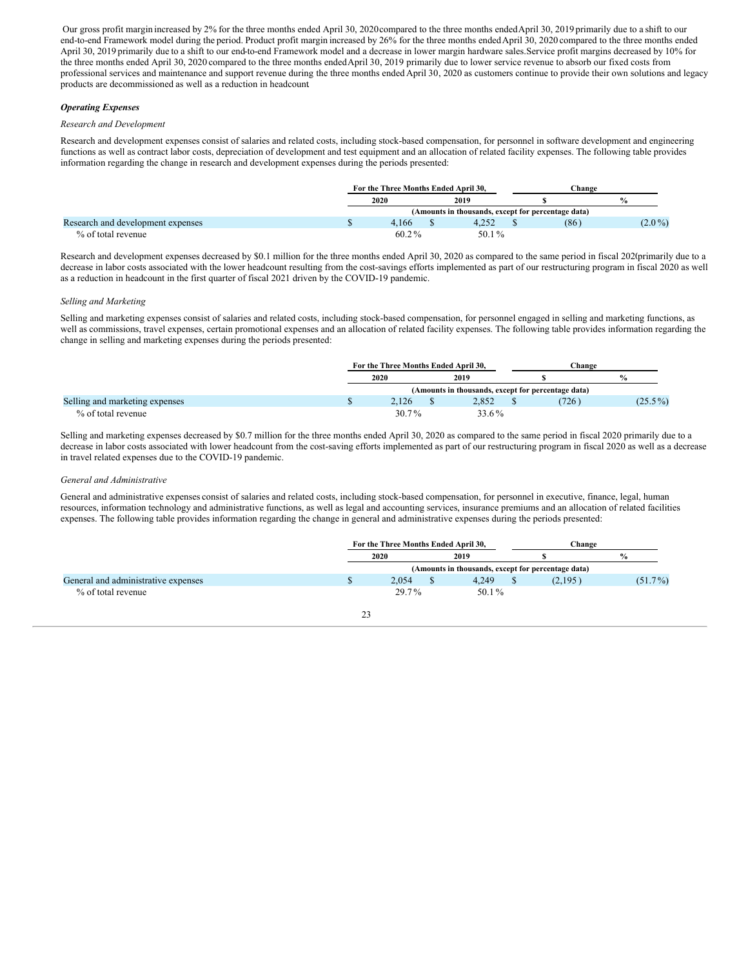Our gross profit margin increased by 2% for the three months ended April 30, 2020compared to the three months endedApril 30, 2019 primarily due to a shift to our end-to-end Framework model during the period. Product profit margin increased by 26% for the three months endedApril 30, 2020 compared to the three months ended April 30, 2019 primarily due to a shift to our end-to-end Framework model and a decrease in lower margin hardware sales. Service profit margins decreased by 10% for the three months ended April 30, 2020 compared to the three months endedApril 30, 2019 primarily due to lower service revenue to absorb our fixed costs from professional services and maintenance and support revenue during the three months ended April 30, 2020 as customers continue to provide their own solutions and legacy products are decommissioned as well as a reduction in headcount.

# *Operating Expenses*

#### *Research and Development*

Research and development expenses consist of salaries and related costs, including stock-based compensation, for personnel in software development and engineering functions as well as contract labor costs, depreciation of development and test equipment and an allocation of related facility expenses. The following table provides information regarding the change in research and development expenses during the periods presented:

|                                   | For the Three Months Ended April 30.               |  |       | Change |      |               |  |
|-----------------------------------|----------------------------------------------------|--|-------|--------|------|---------------|--|
|                                   | 2020                                               |  | 2019  |        |      | $\frac{6}{6}$ |  |
|                                   | (Amounts in thousands, except for percentage data) |  |       |        |      |               |  |
| Research and development expenses | 4.166                                              |  | 4.252 |        | (86) | $(2.0\%)$     |  |
| % of total revenue                | 60.2%                                              |  | 50.1% |        |      |               |  |

Research and development expenses decreased by \$0.1 million for the three months ended April 30, 2020 as compared to the same period in fiscal 2020primarily due to a decrease in labor costs associated with the lower headcount resulting from the cost-savings efforts implemented as part of our restructuring program in fiscal 2020 as well as a reduction in headcount in the first quarter of fiscal 2021 driven by the COVID-19 pandemic.

#### *Selling and Marketing*

Selling and marketing expenses consist of salaries and related costs, including stock-based compensation, for personnel engaged in selling and marketing functions, as well as commissions, travel expenses, certain promotional expenses and an allocation of related facility expenses. The following table provides information regarding the change in selling and marketing expenses during the periods presented:

|                                |                                                    | For the Three Months Ended April 30, |  |       |  | <b>Change</b> |                       |
|--------------------------------|----------------------------------------------------|--------------------------------------|--|-------|--|---------------|-----------------------|
|                                |                                                    | 2020                                 |  | 2019  |  |               | $\mathbf{e}_{\alpha}$ |
|                                | (Amounts in thousands, except for percentage data) |                                      |  |       |  |               |                       |
| Selling and marketing expenses |                                                    | 2.126                                |  | 2.852 |  | (726)         | $(25.5\%)$            |
| % of total revenue             |                                                    | $30.7\%$                             |  | 33.6% |  |               |                       |

Selling and marketing expenses decreased by \$0.7 million for the three months ended April 30, 2020 as compared to the same period in fiscal 2020 primarily due to a decrease in labor costs associated with lower headcount from the cost-saving efforts implemented as part of our restructuring program in fiscal 2020 as well as a decrease in travel related expenses due to the COVID-19 pandemic.

#### *General and Administrative*

General and administrative expenses consist of salaries and related costs, including stock-based compensation, for personnel in executive, finance, legal, human resources, information technology and administrative functions, as well as legal and accounting services, insurance premiums and an allocation of related facilities expenses. The following table provides information regarding the change in general and administrative expenses during the periods presented:

|                                     | For the Three Months Ended April 30,               |  |       | Change |         |               |  |
|-------------------------------------|----------------------------------------------------|--|-------|--------|---------|---------------|--|
|                                     | 2020                                               |  | 2019  |        |         | $\frac{0}{2}$ |  |
|                                     | (Amounts in thousands, except for percentage data) |  |       |        |         |               |  |
| General and administrative expenses | 2.054                                              |  | 4.249 |        | (2,195) | $(51.7\%)$    |  |
| % of total revenue                  | 29.7%                                              |  | 50.1% |        |         |               |  |
|                                     |                                                    |  |       |        |         |               |  |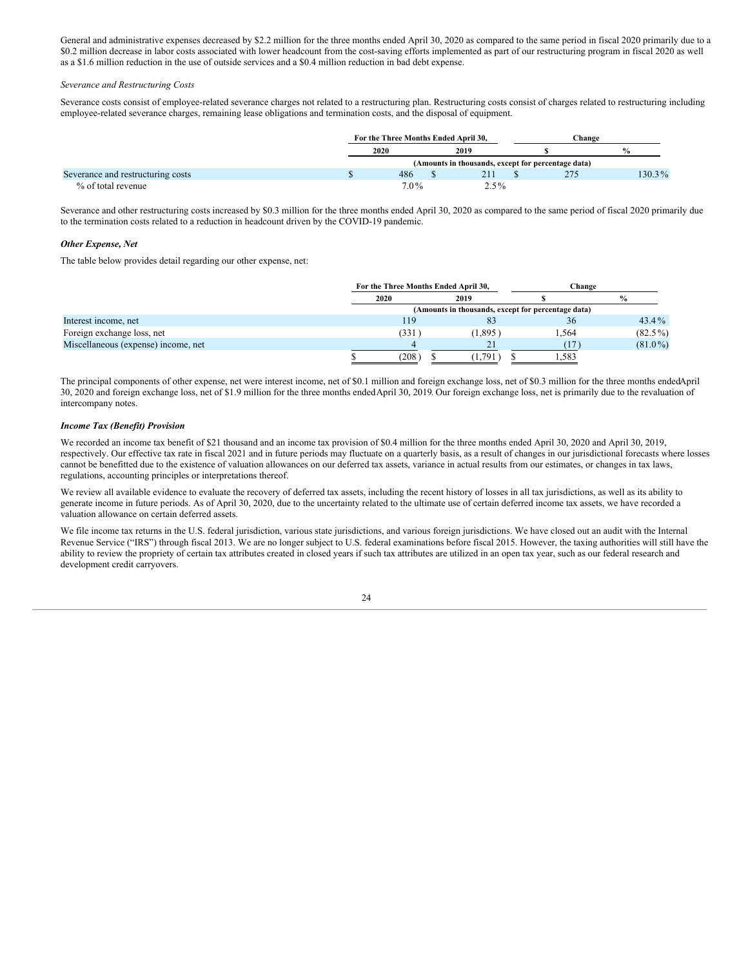General and administrative expenses decreased by \$2.2 million for the three months ended April 30, 2020 as compared to the same period in fiscal 2020 primarily due to a \$0.2 million decrease in labor costs associated with lower headcount from the cost-saving efforts implemented as part of our restructuring program in fiscal 2020 as well as a \$1.6 million reduction in the use of outside services and a \$0.4 million reduction in bad debt expense.

#### *Severance and Restructuring Costs*

Severance costs consist of employee-related severance charges not related to a restructuring plan. Restructuring costs consist of charges related to restructuring including employee-related severance charges, remaining lease obligations and termination costs, and the disposal of equipment.

|                                   | For the Three Months Ended April 30.               |  |         |  | Change |               |  |
|-----------------------------------|----------------------------------------------------|--|---------|--|--------|---------------|--|
|                                   | 2020                                               |  | 2019    |  |        | $\frac{0}{2}$ |  |
|                                   | (Amounts in thousands, except for percentage data) |  |         |  |        |               |  |
| Severance and restructuring costs | 486                                                |  | 211     |  | 275    | 130.3%        |  |
| % of total revenue                | $7.0\%$                                            |  | $2.5\%$ |  |        |               |  |

Severance and other restructuring costs increased by \$0.3 million for the three months ended April 30, 2020 as compared to the same period of fiscal 2020 primarily due to the termination costs related to a reduction in headcount driven by the COVID-19 pandemic.

#### *Other Expense, Net*

The table below provides detail regarding our other expense, net:

|                                     |      | For the Three Months Ended April 30,               |       | Change        |  |  |  |  |
|-------------------------------------|------|----------------------------------------------------|-------|---------------|--|--|--|--|
|                                     | 2020 | 2019                                               |       | $\frac{0}{0}$ |  |  |  |  |
|                                     |      | (Amounts in thousands, except for percentage data) |       |               |  |  |  |  |
| Interest income, net                |      | 119<br>83                                          | 36    | $43.4\%$      |  |  |  |  |
| Foreign exchange loss, net          |      | (1,895)<br>(331)                                   | 1.564 | $(82.5\%)$    |  |  |  |  |
| Miscellaneous (expense) income, net |      | 21                                                 |       | $(81.0\%)$    |  |  |  |  |
|                                     |      | 208<br>(1, 791)                                    | 583،  |               |  |  |  |  |

The principal components of other expense, net were interest income, net of \$0.1 million and foreign exchange loss, net of \$0.3 million for the three months endedApril 30, 2020 and foreign exchange loss, net of \$1.9 million for the three months endedApril 30, 2019. Our foreign exchange loss, net is primarily due to the revaluation of intercompany notes.

#### *Income Tax (Benefit) Provision*

We recorded an income tax benefit of \$21 thousand and an income tax provision of \$0.4 million for the three months ended April 30, 2020 and April 30, 2019, respectively. Our effective tax rate in fiscal 2021 and in future periods may fluctuate on a quarterly basis, as a result of changes in our jurisdictional forecasts where losses cannot be benefitted due to the existence of valuation allowances on our deferred tax assets, variance in actual results from our estimates, or changes in tax laws, regulations, accounting principles or interpretations thereof.

We review all available evidence to evaluate the recovery of deferred tax assets, including the recent history of losses in all tax jurisdictions, as well as its ability to generate income in future periods. As of April 30, 2020, due to the uncertainty related to the ultimate use of certain deferred income tax assets, we have recorded a valuation allowance on certain deferred assets.

We file income tax returns in the U.S. federal jurisdiction, various state jurisdictions, and various foreign jurisdictions. We have closed out an audit with the Internal Revenue Service ("IRS") through fiscal 2013. We are no longer subject to U.S. federal examinations before fiscal 2015. However, the taxing authorities will still have the ability to review the propriety of certain tax attributes created in closed years if such tax attributes are utilized in an open tax year, such as our federal research and development credit carryovers.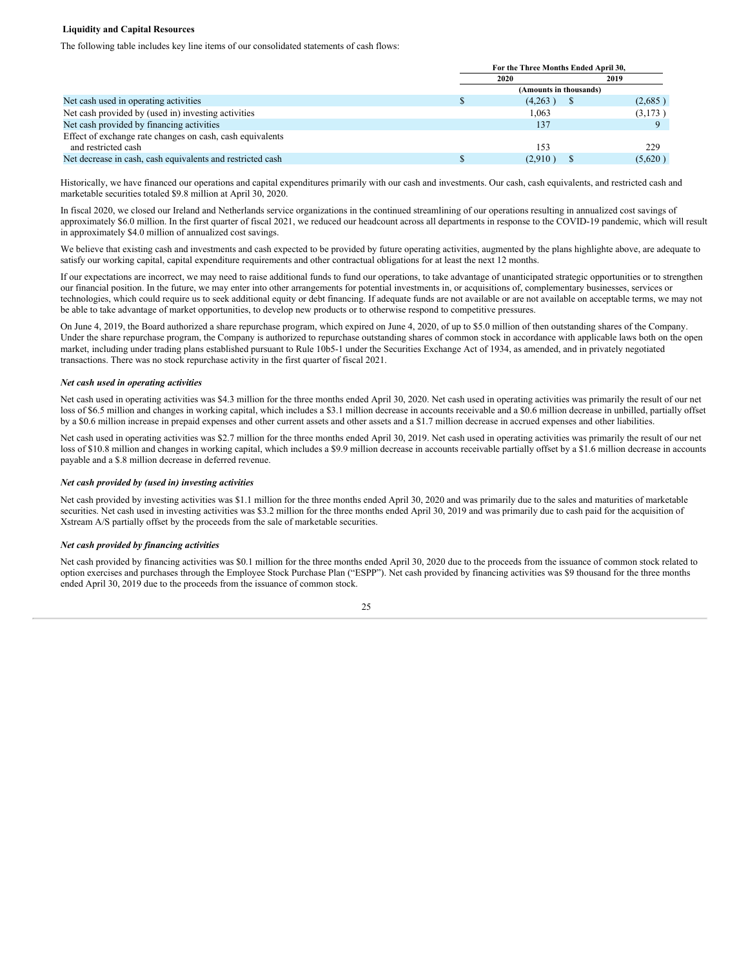#### **Liquidity and Capital Resources**

The following table includes key line items of our consolidated statements of cash flows:

|                                                            |                        | For the Three Months Ended April 30, |  |         |  |  |  |
|------------------------------------------------------------|------------------------|--------------------------------------|--|---------|--|--|--|
|                                                            |                        | 2020                                 |  | 2019    |  |  |  |
|                                                            | (Amounts in thousands) |                                      |  |         |  |  |  |
| Net cash used in operating activities                      |                        | (4,263)                              |  | (2,685) |  |  |  |
| Net cash provided by (used in) investing activities        |                        | 1.063                                |  | (3,173) |  |  |  |
| Net cash provided by financing activities                  |                        | 137                                  |  |         |  |  |  |
| Effect of exchange rate changes on cash, cash equivalents  |                        |                                      |  |         |  |  |  |
| and restricted cash                                        |                        | 153                                  |  | 229     |  |  |  |
| Net decrease in cash, cash equivalents and restricted cash |                        | (2,910)                              |  | (5,620) |  |  |  |

Historically, we have financed our operations and capital expenditures primarily with our cash and investments. Our cash, cash equivalents, and restricted cash and marketable securities totaled \$9.8 million at April 30, 2020.

In fiscal 2020, we closed our Ireland and Netherlands service organizations in the continued streamlining of our operations resulting in annualized cost savings of approximately \$6.0 million. In the first quarter of fiscal 2021, we reduced our headcount across all departments in response to the COVID-19 pandemic, which will result in approximately \$4.0 million of annualized cost savings.

We believe that existing cash and investments and cash expected to be provided by future operating activities, augmented by the plans highlighte above, are adequate to satisfy our working capital, capital expenditure requirements and other contractual obligations for at least the next 12 months.

If our expectations are incorrect, we may need to raise additional funds to fund our operations, to take advantage of unanticipated strategic opportunities or to strengthen our financial position. In the future, we may enter into other arrangements for potential investments in, or acquisitions of, complementary businesses, services or technologies, which could require us to seek additional equity or debt financing. If adequate funds are not available or are not available on acceptable terms, we may not be able to take advantage of market opportunities, to develop new products or to otherwise respond to competitive pressures.

On June 4, 2019, the Board authorized a share repurchase program, which expired on June 4, 2020, of up to \$5.0 million of then outstanding shares of the Company. Under the share repurchase program, the Company is authorized to repurchase outstanding shares of common stock in accordance with applicable laws both on the open market, including under trading plans established pursuant to Rule 10b5-1 under the Securities Exchange Act of 1934, as amended, and in privately negotiated transactions. There was no stock repurchase activity in the first quarter of fiscal 2021.

#### *Net cash used in operating activities*

Net cash used in operating activities was \$4.3 million for the three months ended April 30, 2020. Net cash used in operating activities was primarily the result of our net loss of \$6.5 million and changes in working capital, which includes a \$3.1 million decrease in accounts receivable and a \$0.6 million decrease in unbilled, partially offset by a \$0.6 million increase in prepaid expenses and other current assets and other assets and a \$1.7 million decrease in accrued expenses and other liabilities.

Net cash used in operating activities was \$2.7 million for the three months ended April 30, 2019. Net cash used in operating activities was primarily the result of our net loss of \$10.8 million and changes in working capital, which includes a \$9.9 million decrease in accounts receivable partially offset by a \$1.6 million decrease in accounts payable and a \$.8 million decrease in deferred revenue.

#### *Net cash provided by (used in) investing activities*

Net cash provided by investing activities was \$1.1 million for the three months ended April 30, 2020 and was primarily due to the sales and maturities of marketable securities. Net cash used in investing activities was \$3.2 million for the three months ended April 30, 2019 and was primarily due to cash paid for the acquisition of Xstream A/S partially offset by the proceeds from the sale of marketable securities.

# *Net cash provided by financing activities*

Net cash provided by financing activities was \$0.1 million for the three months ended April 30, 2020 due to the proceeds from the issuance of common stock related to option exercises and purchases through the Employee Stock Purchase Plan ("ESPP"). Net cash provided by financing activities was \$9 thousand for the three months ended April 30, 2019 due to the proceeds from the issuance of common stock.

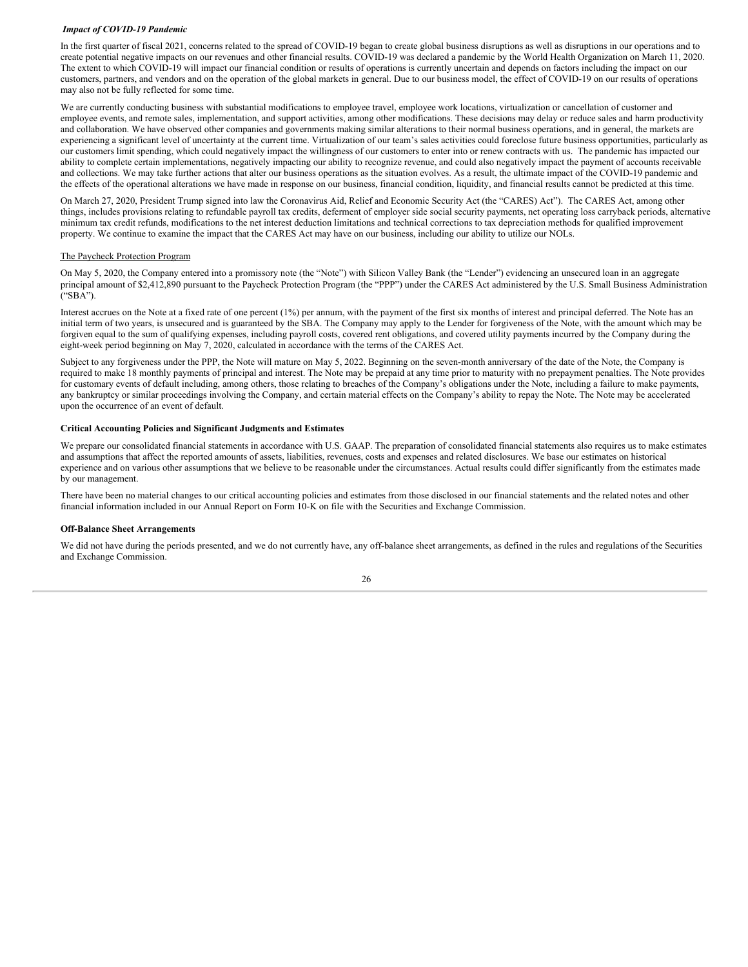#### *Impact of COVID-19 Pandemic*

In the first quarter of fiscal 2021, concerns related to the spread of COVID-19 began to create global business disruptions as well as disruptions in our operations and to create potential negative impacts on our revenues and other financial results. COVID-19 was declared a pandemic by the World Health Organization on March 11, 2020. The extent to which COVID-19 will impact our financial condition or results of operations is currently uncertain and depends on factors including the impact on our customers, partners, and vendors and on the operation of the global markets in general. Due to our business model, the effect of COVID-19 on our results of operations may also not be fully reflected for some time.

We are currently conducting business with substantial modifications to employee travel, employee work locations, virtualization or cancellation of customer and employee events, and remote sales, implementation, and support activities, among other modifications. These decisions may delay or reduce sales and harm productivity and collaboration. We have observed other companies and governments making similar alterations to their normal business operations, and in general, the markets are experiencing a significant level of uncertainty at the current time. Virtualization of our team's sales activities could foreclose future business opportunities, particularly as our customers limit spending, which could negatively impact the willingness of our customers to enter into or renew contracts with us. The pandemic has impacted our ability to complete certain implementations, negatively impacting our ability to recognize revenue, and could also negatively impact the payment of accounts receivable and collections. We may take further actions that alter our business operations as the situation evolves. As a result, the ultimate impact of the COVID-19 pandemic and the effects of the operational alterations we have made in response on our business, financial condition, liquidity, and financial results cannot be predicted at this time.

On March 27, 2020, President Trump signed into law the Coronavirus Aid, Relief and Economic Security Act (the "CARES) Act"). The CARES Act, among other things, includes provisions relating to refundable payroll tax credits, deferment of employer side social security payments, net operating loss carryback periods, alternative minimum tax credit refunds, modifications to the net interest deduction limitations and technical corrections to tax depreciation methods for qualified improvement property. We continue to examine the impact that the CARES Act may have on our business, including our ability to utilize our NOLs.

#### The Paycheck Protection Program

On May 5, 2020, the Company entered into a promissory note (the "Note") with Silicon Valley Bank (the "Lender") evidencing an unsecured loan in an aggregate principal amount of \$2,412,890 pursuant to the Paycheck Protection Program (the "PPP") under the CARES Act administered by the U.S. Small Business Administration ("SBA").

Interest accrues on the Note at a fixed rate of one percent (1%) per annum, with the payment of the first six months of interest and principal deferred. The Note has an initial term of two years, is unsecured and is guaranteed by the SBA. The Company may apply to the Lender for forgiveness of the Note, with the amount which may be forgiven equal to the sum of qualifying expenses, including payroll costs, covered rent obligations, and covered utility payments incurred by the Company during the eight-week period beginning on May 7, 2020, calculated in accordance with the terms of the CARES Act.

Subject to any forgiveness under the PPP, the Note will mature on May 5, 2022. Beginning on the seven-month anniversary of the date of the Note, the Company is required to make 18 monthly payments of principal and interest. The Note may be prepaid at any time prior to maturity with no prepayment penalties. The Note provides for customary events of default including, among others, those relating to breaches of the Company's obligations under the Note, including a failure to make payments, any bankruptcy or similar proceedings involving the Company, and certain material effects on the Company's ability to repay the Note. The Note may be accelerated upon the occurrence of an event of default.

# **Critical Accounting Policies and Significant Judgments and Estimates**

We prepare our consolidated financial statements in accordance with U.S. GAAP. The preparation of consolidated financial statements also requires us to make estimates and assumptions that affect the reported amounts of assets, liabilities, revenues, costs and expenses and related disclosures. We base our estimates on historical experience and on various other assumptions that we believe to be reasonable under the circumstances. Actual results could differ significantly from the estimates made by our management.

There have been no material changes to our critical accounting policies and estimates from those disclosed in our financial statements and the related notes and other financial information included in our Annual Report on Form 10-K on file with the Securities and Exchange Commission.

#### **Off-Balance Sheet Arrangements**

We did not have during the periods presented, and we do not currently have, any off-balance sheet arrangements, as defined in the rules and regulations of the Securities and Exchange Commission.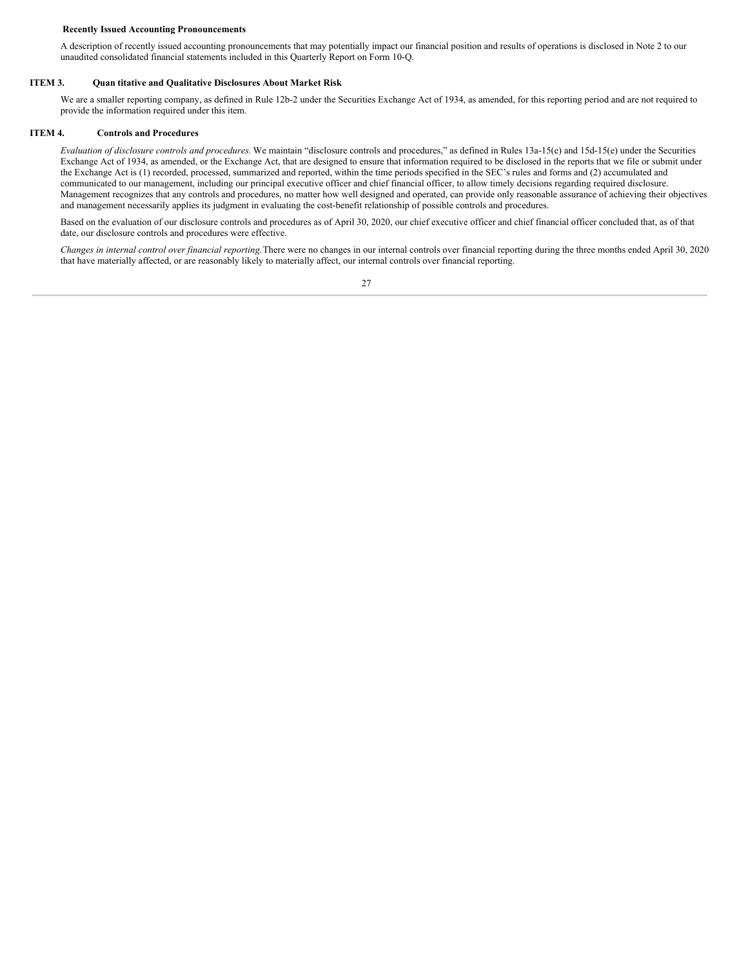#### **Recently Issued Accounting Pronouncements**

A description of recently issued accounting pronouncements that may potentially impact our financial position and results of operations is disclosed in Note 2 to our unaudited consolidated financial statements included in this Quarterly Report on Form 10-Q.

#### **ITEM 3. Quan titative and Qualitative Disclosures About Market Risk**

<span id="page-28-0"></span>We are a smaller reporting company, as defined in Rule 12b-2 under the Securities Exchange Act of 1934, as amended, for this reporting period and are not required to provide the information required under this item.

# **ITEM 4. Controls and Procedures**

<span id="page-28-1"></span>*Evaluation of disclosure controls and procedures.* We maintain "disclosure controls and procedures," as defined in Rules 13a‑15(e) and 15d‑15(e) under the Securities Exchange Act of 1934, as amended, or the Exchange Act, that are designed to ensure that information required to be disclosed in the reports that we file or submit under the Exchange Act is (1) recorded, processed, summarized and reported, within the time periods specified in the SEC's rules and forms and (2) accumulated and communicated to our management, including our principal executive officer and chief financial officer, to allow timely decisions regarding required disclosure. Management recognizes that any controls and procedures, no matter how well designed and operated, can provide only reasonable assurance of achieving their objectives and management necessarily applies its judgment in evaluating the cost-benefit relationship of possible controls and procedures.

Based on the evaluation of our disclosure controls and procedures as of April 30, 2020, our chief executive officer and chief financial officer concluded that, as of that date, our disclosure controls and procedures were effective.

*Changes in internal control over financial reporting.*There were no changes in our internal controls over financial reporting during the three months ended April 30, 2020 that have materially affected, or are reasonably likely to materially affect, our internal controls over financial reporting.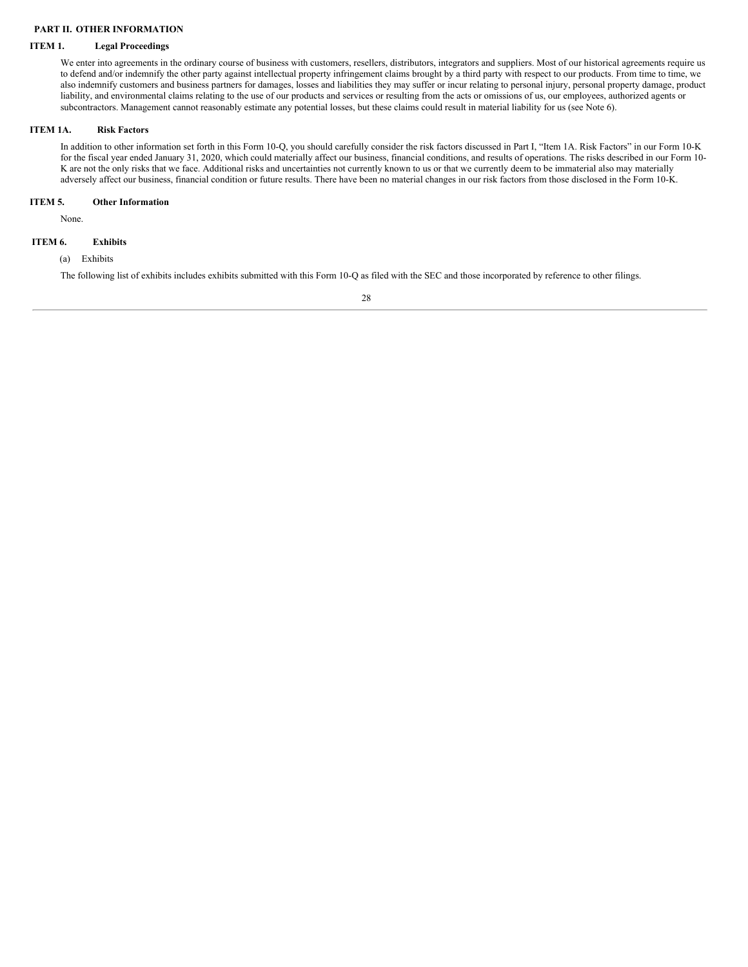# <span id="page-29-0"></span>**PART II. OTHER INFORMATION**

# **ITEM 1. Legal Proceedings**

<span id="page-29-1"></span>We enter into agreements in the ordinary course of business with customers, resellers, distributors, integrators and suppliers. Most of our historical agreements require us to defend and/or indemnify the other party against intellectual property infringement claims brought by a third party with respect to our products. From time to time, we also indemnify customers and business partners for damages, losses and liabilities they may suffer or incur relating to personal injury, personal property damage, product liability, and environmental claims relating to the use of our products and services or resulting from the acts or omissions of us, our employees, authorized agents or subcontractors. Management cannot reasonably estimate any potential losses, but these claims could result in material liability for us (see Note 6).

# **ITEM 1A. Risk Factors**

<span id="page-29-2"></span>In addition to other information set forth in this Form 10-Q, you should carefully consider the risk factors discussed in Part I, "Item 1A. Risk Factors" in our Form 10-K for the fiscal year ended January 31, 2020, which could materially affect our business, financial conditions, and results of operations. The risks described in our Form 10- K are not the only risks that we face. Additional risks and uncertainties not currently known to us or that we currently deem to be immaterial also may materially adversely affect our business, financial condition or future results. There have been no material changes in our risk factors from those disclosed in the Form 10-K.

# **ITEM 5. Other Information**

<span id="page-29-3"></span>None.

# <span id="page-29-4"></span>**ITEM 6. Exhibits**

# (a) Exhibits

The following list of exhibits includes exhibits submitted with this Form 10-Q as filed with the SEC and those incorporated by reference to other filings.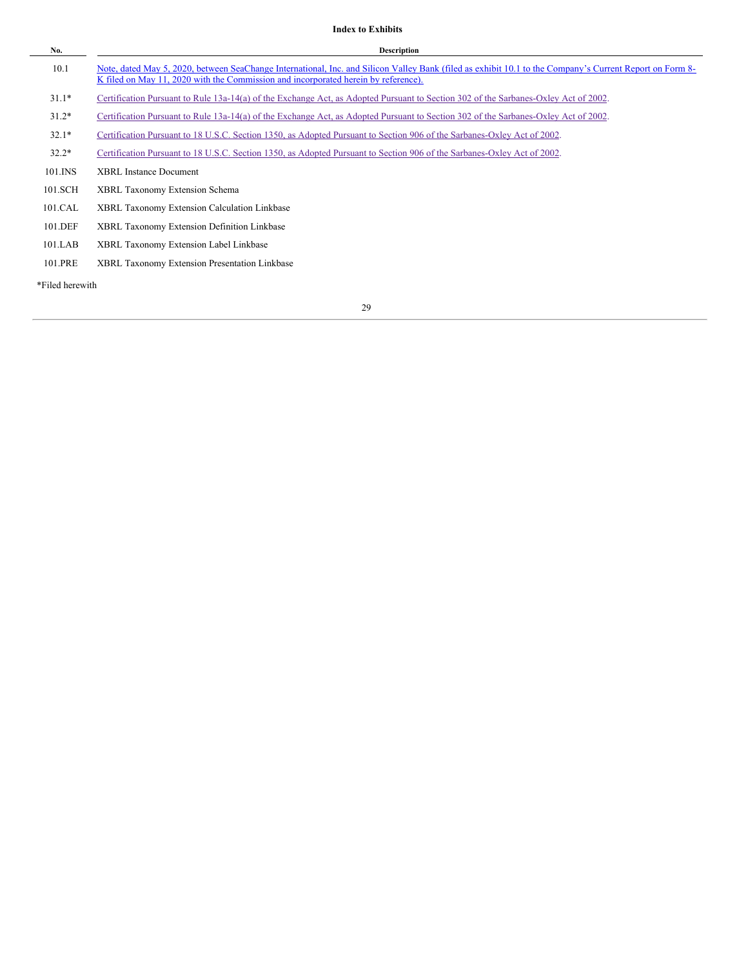# **Index to Exhibits**

| No.             | <b>Description</b>                                                                                                                                                                                                                             |
|-----------------|------------------------------------------------------------------------------------------------------------------------------------------------------------------------------------------------------------------------------------------------|
| 10.1            | Note, dated May 5, 2020, between SeaChange International, Inc. and Silicon Valley Bank (filed as exhibit 10.1 to the Company's Current Report on Form 8-<br>K filed on May 11, 2020 with the Commission and incorporated herein by reference). |
| $31.1*$         | Certification Pursuant to Rule 13a-14(a) of the Exchange Act, as Adopted Pursuant to Section 302 of the Sarbanes-Oxley Act of 2002.                                                                                                            |
| $31.2*$         | Certification Pursuant to Rule 13a-14(a) of the Exchange Act, as Adopted Pursuant to Section 302 of the Sarbanes-Oxley Act of 2002.                                                                                                            |
| $32.1*$         | Certification Pursuant to 18 U.S.C. Section 1350, as Adopted Pursuant to Section 906 of the Sarbanes-Oxley Act of 2002.                                                                                                                        |
| $32.2*$         | Certification Pursuant to 18 U.S.C. Section 1350, as Adopted Pursuant to Section 906 of the Sarbanes-Oxley Act of 2002.                                                                                                                        |
| 101.INS         | <b>XBRL Instance Document</b>                                                                                                                                                                                                                  |
| 101.SCH         | XBRL Taxonomy Extension Schema                                                                                                                                                                                                                 |
| 101.CAL         | <b>XBRL Taxonomy Extension Calculation Linkbase</b>                                                                                                                                                                                            |
| 101.DEF         | XBRL Taxonomy Extension Definition Linkbase                                                                                                                                                                                                    |
| 101.LAB         | XBRL Taxonomy Extension Label Linkbase                                                                                                                                                                                                         |
| 101.PRE         | XBRL Taxonomy Extension Presentation Linkbase                                                                                                                                                                                                  |
| *Filed herewith |                                                                                                                                                                                                                                                |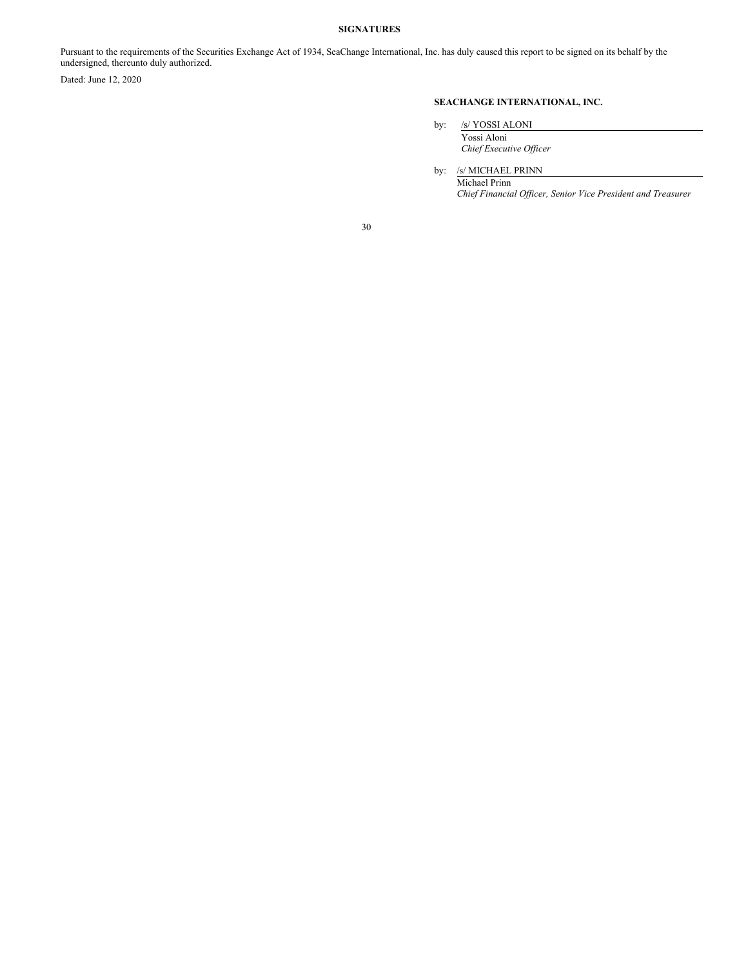# <span id="page-31-0"></span>**SIGNATURES**

Pursuant to the requirements of the Securities Exchange Act of 1934, SeaChange International, Inc. has duly caused this report to be signed on its behalf by the undersigned, thereunto duly authorized.

Dated: June 12, 2020

# **SEACHANGE INTERNATIONAL, INC.**

by: /s/ YOSSI ALONI

Yossi Aloni *Chief Executive Of icer*

by: /s/ MICHAEL PRINN

Michael Prinn *Chief Financial Of icer, Senior Vice President and Treasurer*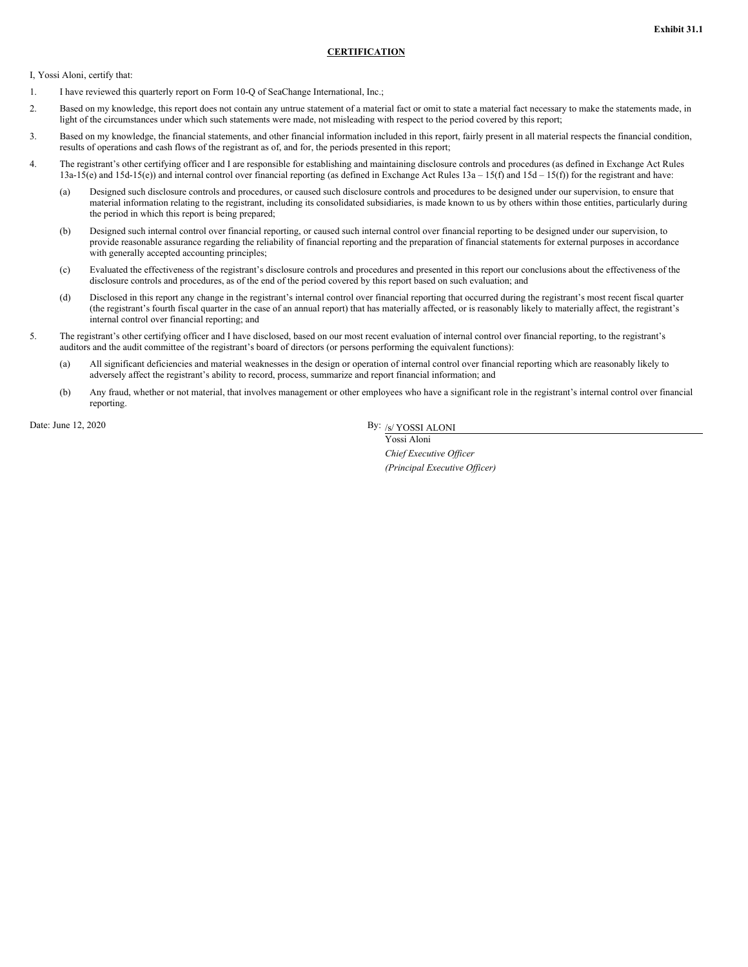# **CERTIFICATION**

<span id="page-32-0"></span>I, Yossi Aloni, certify that:

- 1. I have reviewed this quarterly report on Form 10-Q of SeaChange International, Inc.;
- 2. Based on my knowledge, this report does not contain any untrue statement of a material fact or omit to state a material fact necessary to make the statements made, in light of the circumstances under which such statements were made, not misleading with respect to the period covered by this report;
- 3. Based on my knowledge, the financial statements, and other financial information included in this report, fairly present in all material respects the financial condition, results of operations and cash flows of the registrant as of, and for, the periods presented in this report;
- 4. The registrant's other certifying officer and I are responsible for establishing and maintaining disclosure controls and procedures (as defined in Exchange Act Rules 13a-15(e) and 15d-15(e)) and internal control over financial reporting (as defined in Exchange Act Rules 13a – 15(f) and 15d – 15(f)) for the registrant and have:
	- (a) Designed such disclosure controls and procedures, or caused such disclosure controls and procedures to be designed under our supervision, to ensure that material information relating to the registrant, including its consolidated subsidiaries, is made known to us by others within those entities, particularly during the period in which this report is being prepared;
	- (b) Designed such internal control over financial reporting, or caused such internal control over financial reporting to be designed under our supervision, to provide reasonable assurance regarding the reliability of financial reporting and the preparation of financial statements for external purposes in accordance with generally accepted accounting principles;
	- (c) Evaluated the effectiveness of the registrant's disclosure controls and procedures and presented in this report our conclusions about the effectiveness of the disclosure controls and procedures, as of the end of the period covered by this report based on such evaluation; and
	- (d) Disclosed in this report any change in the registrant's internal control over financial reporting that occurred during the registrant's most recent fiscal quarter (the registrant's fourth fiscal quarter in the case of an annual report) that has materially affected, or is reasonably likely to materially affect, the registrant's internal control over financial reporting; and
- 5. The registrant's other certifying officer and I have disclosed, based on our most recent evaluation of internal control over financial reporting, to the registrant's auditors and the audit committee of the registrant's board of directors (or persons performing the equivalent functions):
	- (a) All significant deficiencies and material weaknesses in the design or operation of internal control over financial reporting which are reasonably likely to adversely affect the registrant's ability to record, process, summarize and report financial information; and
	- (b) Any fraud, whether or not material, that involves management or other employees who have a significant role in the registrant's internal control over financial reporting.

Date: June 12, 2020

By:  $\frac{1}{s}$  YOSSI ALONI

Yossi Aloni *Chief Executive Of icer (Principal Executive Of icer)*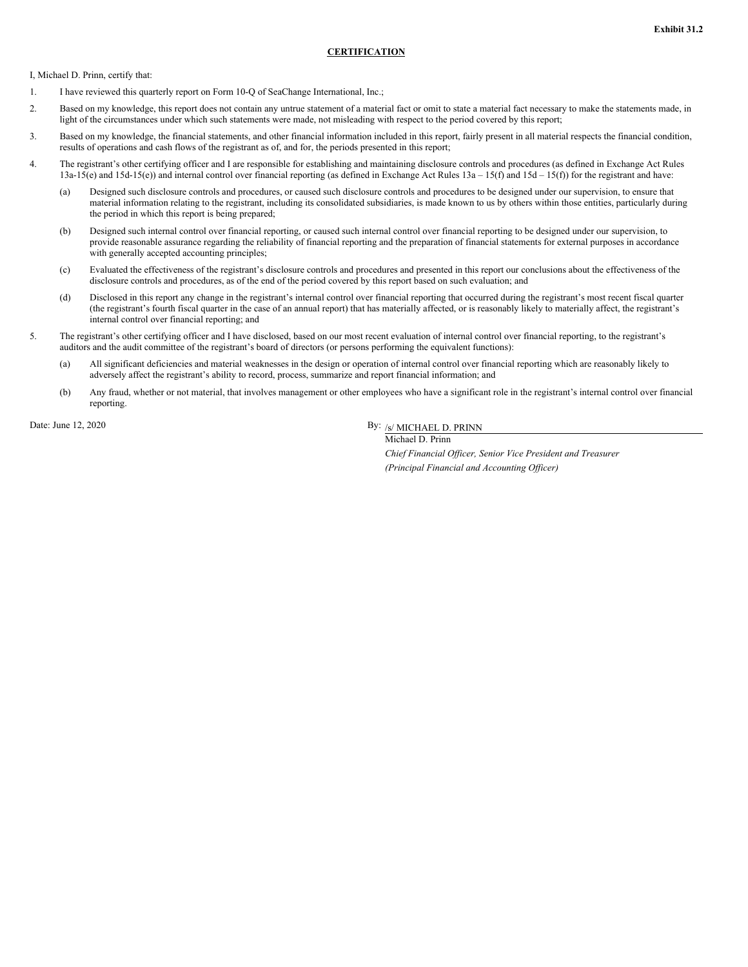# **CERTIFICATION**

<span id="page-33-0"></span>I, Michael D. Prinn, certify that:

- 1. I have reviewed this quarterly report on Form 10-Q of SeaChange International, Inc.;
- 2. Based on my knowledge, this report does not contain any untrue statement of a material fact or omit to state a material fact necessary to make the statements made, in light of the circumstances under which such statements were made, not misleading with respect to the period covered by this report;
- 3. Based on my knowledge, the financial statements, and other financial information included in this report, fairly present in all material respects the financial condition, results of operations and cash flows of the registrant as of, and for, the periods presented in this report;
- 4. The registrant's other certifying officer and I are responsible for establishing and maintaining disclosure controls and procedures (as defined in Exchange Act Rules 13a-15(e) and 15d-15(e)) and internal control over financial reporting (as defined in Exchange Act Rules 13a – 15(f) and 15d – 15(f)) for the registrant and have:
	- (a) Designed such disclosure controls and procedures, or caused such disclosure controls and procedures to be designed under our supervision, to ensure that material information relating to the registrant, including its consolidated subsidiaries, is made known to us by others within those entities, particularly during the period in which this report is being prepared;
	- (b) Designed such internal control over financial reporting, or caused such internal control over financial reporting to be designed under our supervision, to provide reasonable assurance regarding the reliability of financial reporting and the preparation of financial statements for external purposes in accordance with generally accepted accounting principles;
	- (c) Evaluated the effectiveness of the registrant's disclosure controls and procedures and presented in this report our conclusions about the effectiveness of the disclosure controls and procedures, as of the end of the period covered by this report based on such evaluation; and
	- (d) Disclosed in this report any change in the registrant's internal control over financial reporting that occurred during the registrant's most recent fiscal quarter (the registrant's fourth fiscal quarter in the case of an annual report) that has materially affected, or is reasonably likely to materially affect, the registrant's internal control over financial reporting; and
- 5. The registrant's other certifying officer and I have disclosed, based on our most recent evaluation of internal control over financial reporting, to the registrant's auditors and the audit committee of the registrant's board of directors (or persons performing the equivalent functions):
	- (a) All significant deficiencies and material weaknesses in the design or operation of internal control over financial reporting which are reasonably likely to adversely affect the registrant's ability to record, process, summarize and report financial information; and
	- (b) Any fraud, whether or not material, that involves management or other employees who have a significant role in the registrant's internal control over financial reporting.

Date: June 12, 2020

By: /s/ MICHAEL D. PRINN Michael D. Prinn

> *Chief Financial Of icer, Senior Vice President and Treasurer (Principal Financial and Accounting Of icer)*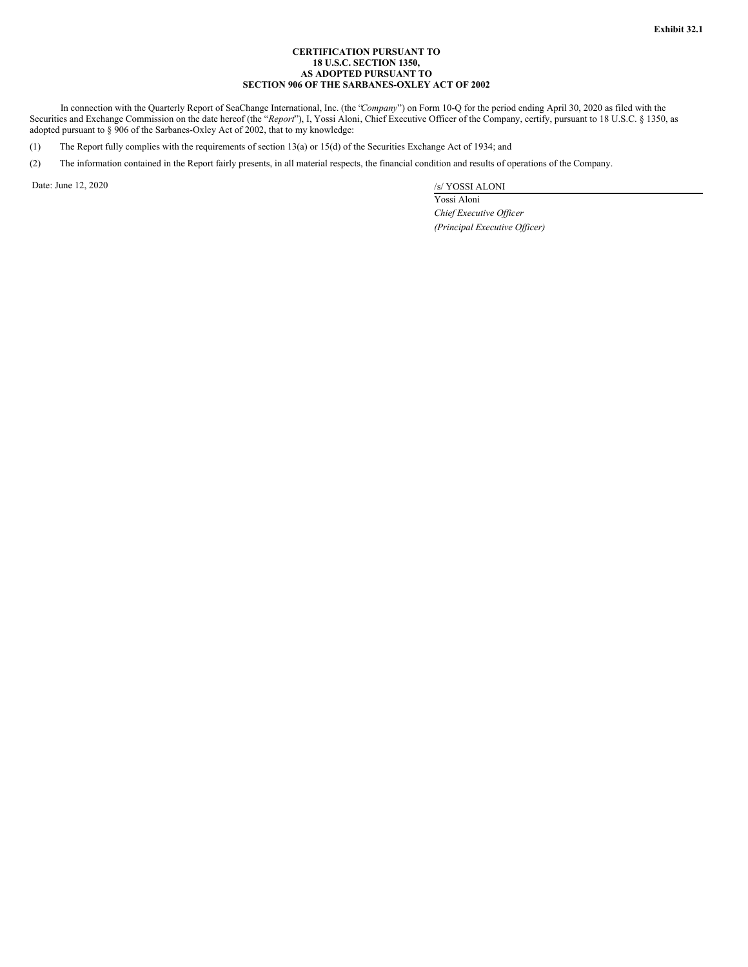# **CERTIFICATION PURSUANT TO 18 U.S.C. SECTION 1350, AS ADOPTED PURSUANT TO SECTION 906 OF THE SARBANES-OXLEY ACT OF 2002**

<span id="page-34-0"></span>In connection with the Quarterly Report of SeaChange International, Inc. (the "*Company*") on Form 10-Q for the period ending April 30, 2020 as filed with the Securities and Exchange Commission on the date hereof (the "*Report*"), I, Yossi Aloni, Chief Executive Officer of the Company, certify, pursuant to 18 U.S.C. § 1350, as adopted pursuant to § 906 of the Sarbanes-Oxley Act of 2002, that to my knowledge:

(1) The Report fully complies with the requirements of section 13(a) or 15(d) of the Securities Exchange Act of 1934; and

(2) The information contained in the Report fairly presents, in all material respects, the financial condition and results of operations of the Company.

Date: June 12, 2020 /s/ YOSSI ALONI

Yossi Aloni *Chief Executive Of icer (Principal Executive Of icer)*